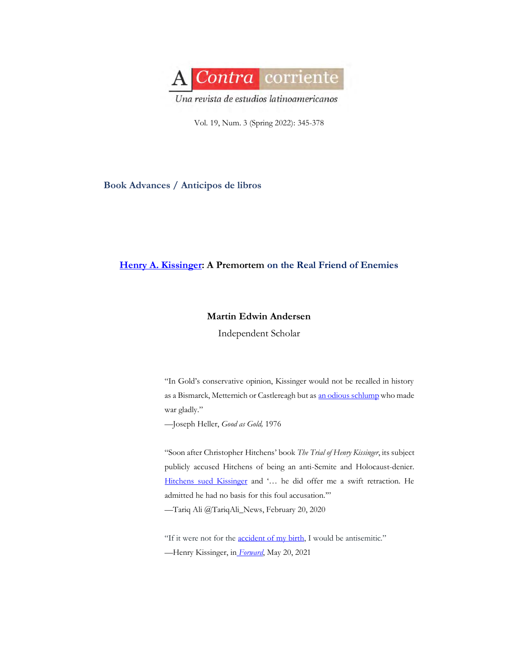

Vol. 19, Num. 3 (Spring 2022): 345-378

### **Book Advances / Anticipos de libros**

# **[Henry A. Kissinger:](https://www.youtube.com/watch?v=ant6tY-MOIk) A Premortem on the Real Friend of Enemies**

## **Martin Edwin Andersen**

Independent Scholar

"In Gold's conservative opinion, Kissinger would not be recalled in history as a Bismarck, Metternich or Castlereagh but a[s an odious schlump](http://www.jstor.org/stable/40549493) who made war gladly."

—Joseph Heller, *Good as Gold,* 1976

"Soon after Christopher Hitchens' book *The Trial of Henry Kissinger*, its subject publicly accused Hitchens of being an anti-Semite and Holocaust-denier. [Hitchens sued Kissinger](https://twitter.com/tariqali_news/status/1229382452365398016?lang=en) and '… he did offer me a swift retraction. He admitted he had no basis for this foul accusation.'"

—Tariq Ali @TariqAli\_News, February 20, 2020

"If it were not for the **[accident of my birth](https://twitter.com/tribelaw/status/1401234075705397255)**, I would be antisemitic."

—Henry Kissinger, in *[Forward](https://forward.com/culture/470300/kissinger-at-98-if-it-were-not-for-the-accident-of-my-birth-i-would-be/)*, May 20, 2021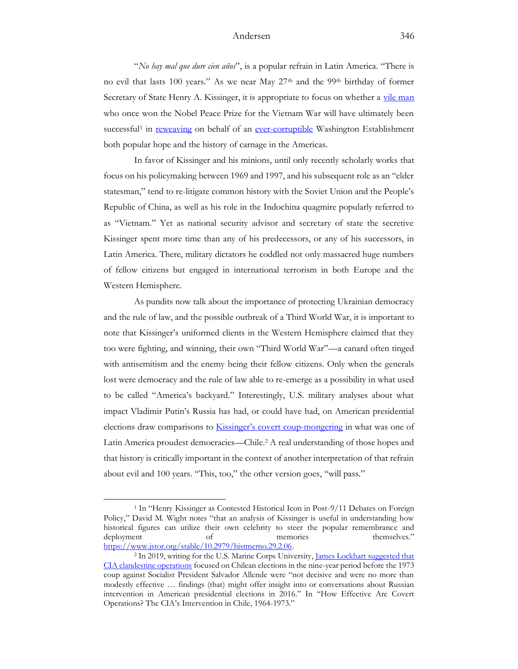"*No hay mal que dure cien años*", is a popular refrain in Latin America. "There is no evil that lasts 100 years." As we near May 27<sup>th</sup> and the 99<sup>th</sup> birthday of former Secretary of State Henry A. Kissinger, it is appropriate to focus on whether a [vile man](https://slate.com/news-and-politics/2010/12/the-nixon-tapes-remind-us-what-a-vile-creature-henry-kissinger-is.html) who once won the Nobel Peace Prize for the Vietnam War will have ultimately been successful<sup>1</sup> in [reweaving](https://www.lexico.com/en/definition/reweave) on behalf of an [ever-corruptible](https://www.academia.edu/72104787/Neo_Nazis_Neo_Narcos_False_Flags_and_the_Case_Against_vice_ADM_Ann_Rondeau_et_al?fbclid=IwAR2kd0MfUWHl9p9j46z0UX2VstU7ghC-d-SVvHVnZbCBCqKMemumkpiYV1g) Washington Establishment both popular hope and the history of carnage in the Americas.

In favor of Kissinger and his minions, until only recently scholarly works that focus on his policymaking between 1969 and 1997, and his subsequent role as an "elder statesman," tend to re-litigate common history with the Soviet Union and the People's Republic of China, as well as his role in the Indochina quagmire popularly referred to as "Vietnam." Yet as national security advisor and secretary of state the secretive Kissinger spent more time than any of his predecessors, or any of his successors, in Latin America. There, military dictators he coddled not only massacred huge numbers of fellow citizens but engaged in international terrorism in both Europe and the Western Hemisphere.

As pundits now talk about the importance of protecting Ukrainian democracy and the rule of law, and the possible outbreak of a Third World War, it is important to note that Kissinger's uniformed clients in the Western Hemisphere claimed that they too were fighting, and winning, their own "Third World War"—a canard often tinged with antisemitism and the enemy being their fellow citizens. Only when the generals lost were democracy and the rule of law able to re-emerge as a possibility in what used to be called "America's backyard." Interestingly, U.S. military analyses about what impact Vladimir Putin's Russia has had, or could have had, on American presidential elections draw comparisons to **Kissinger's cov[ert coup-mongering](https://www.usmcu.edu/Portals/218/MCUJ_10_1_How%20Effective%20Are%20Covert%20Operations_The%20CIA%27s%20Intervention%20in%20Chile%2C%201964-73_James%20Lockhart.pdf)** in what was one of Latin America proudest democracies—Chile.<sup>2</sup> A real understanding of those hopes and that history is critically important in the context of another interpretation of that refrain about evil and 100 years. "This, too," the other version goes, "will pass."

<sup>1</sup> In "Henry Kissinger as Contested Historical Icon in Post-9/11 Debates on Foreign Policy," David M. Wight notes "that an analysis of Kissinger is useful in understanding how historical figures can utilize their own celebrity to steer the popular remembrance and deployment of memories themselves." [https://www.jstor.org/stable/10.2979/histmemo.29.2.06.](https://www.jstor.org/stable/10.2979/histmemo.29.2.06)

<sup>&</sup>lt;sup>2</sup> In 2019, writing for the U.S. Marine Corps University, *James Lockhart suggested that* [CIA clandestine operations](https://www.usmcu.edu/Portals/218/MCUJ_10_1_How%20Effective%20Are%20Covert%20Operations_The%20CIA%27s%20Intervention%20in%20Chile%2C%201964-73_James%20Lockhart.pdf) focused on Chilean elections in the nine-year period before the 1973 coup against Socialist President Salvador Allende were "not decisive and were no more than modestly effective … findings (that) might offer insight into or conversations about Russian intervention in American presidential elections in 2016." In "How Effective Are Covert Operations? The CIA's Intervention in Chile, 1964-1973."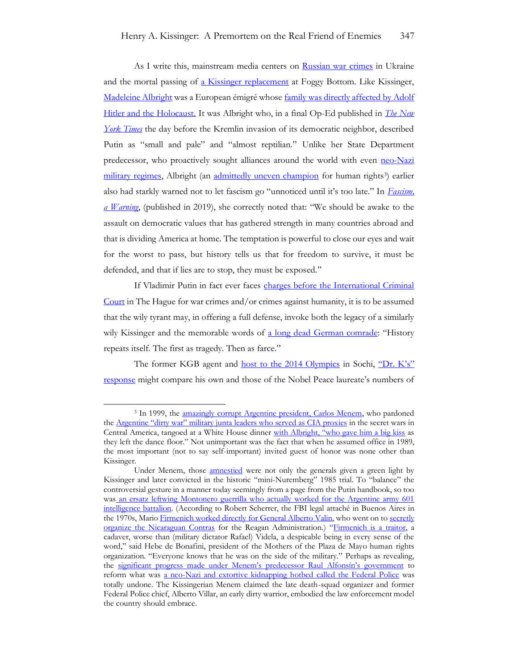As I write this, mainstream media centers on [Russian war crimes](https://www.state.gov/war-crimes-by-russias-forces-in-ukraine/) in Ukraine and the mortal passing of [a Kissinger replacement](https://thehill.com/opinion/white-house/599639-politics-never-trumped-my-40-year-friendship-with-madeleine-albright) at Foggy Bottom. Like Kissinger, [Madeleine Albright](https://www.npr.org/2018/04/03/599120190/madeleine-albright-warns-dont-let-fascism-go-unnoticed-until-its-too-late) was a European émigré whose [family was directly affected by Adolf](https://www.washingtonpost.com/history/2022/03/23/madeleine-albright-jewish/)  [Hitler and the Holocaust.](https://www.washingtonpost.com/history/2022/03/23/madeleine-albright-jewish/) It was Albright who, in a final Op-Ed published in *[The New](https://www.nytimes.com/2022/02/23/opinion/putin-ukraine.html)  [York Times](https://www.nytimes.com/2022/02/23/opinion/putin-ukraine.html)* the day before the Kremlin invasion of its democratic neighbor, described Putin as "small and pale" and "almost reptilian." Unlike her State Department predecessor, who proactively sought alliances around the world with even [neo-Nazi](https://www.jstor.org/stable/j.ctt6wq9vn) [military regimes,](https://www.academia.edu/60299692/Case_Study_on_Neo_Nazi_Infiltration_The_Pentagons_National_Defense_University_and_Vichy_Ann_Rondeau_et_al) Albright (an [admittedly uneven champion](https://theintercept.com/2022/03/25/madeleine-albright-dead-iraq-war-herbalife/) for human rights<sup>3</sup>) earlier also had starkly warned not to let fascism go "unnoticed until it's too late." In *[Fascism,](https://www.harpercollins.com/products/fascism-a-warning-madeleine-albright?variant=32128912916514)  [a Warning](https://www.harpercollins.com/products/fascism-a-warning-madeleine-albright?variant=32128912916514)*, (published in 2019), she correctly noted that: "We should be awake to the assault on democratic values that has gathered strength in many countries abroad and that is dividing America at home. The temptation is powerful to close our eyes and wait for the worst to pass, but history tells us that for freedom to survive, it must be defended, and that if lies are to stop, they must be exposed."

If Vladimir Putin in fact ever faces [charges before the International Criminal](https://foreignpolicy.com/2022/03/24/putin-war-crimes-prosecute-trial-ukraine/)  [Court](https://foreignpolicy.com/2022/03/24/putin-war-crimes-prosecute-trial-ukraine/) in The Hague for war crimes and/or crimes against humanity, it is to be assumed that the wily tyrant may, in offering a full defense, invoke both the legacy of a similarly wily Kissinger and the memorable words of [a long dead German comrade](https://cdn-0.therandomvibez.com/wp-content/uploads/2021/11/History-Repeats-Itself-Quote-By-Karl-Marx.jpg): "History repeats itself. The first as tragedy. Then as farce."

The former KGB agent and [host to the 2014 Olympics](https://apnews.com/article/winter-olympics-russia-getting-away-with-it-60f7e4f7c54ae3fe65d966ff5a159e9b) in Sochi, ["Dr. K's"](https://www.thecrimson.com/article/1978/10/13/the-amazing-doctor-k-phenry-kissinger/)  [response](https://www.thecrimson.com/article/1978/10/13/the-amazing-doctor-k-phenry-kissinger/) might compare his own and those of the Nobel Peace laureate's numbers of

<sup>&</sup>lt;sup>3</sup> In 1999, the [amazingly corrupt Argentine president, Carlos Menem,](https://www.nytimes.com/2015/12/02/world/americas/carlos-menem-ex-president-of-argentina-is-sentenced-in-embezzlement.html) who pardoned the [Argentine "dirty war" military junta leaders who served as CIA prox](https://acontracorriente.chass.ncsu.edu/index.php/acontracorriente/article/view/2088)ies in the secret wars in Central America, tangoed at a White House dinner [with Albright, "who gave him a big kiss](https://www.karenfeld.com/no-one-turns-dinner-white-house/) as they left the dance floor." Not unimportant was the fact that when he assumed office in 1989, the most important (not to say self-important) invited guest of honor was none other than Kissinger.

Under Menem, those *amnestied* were not only the generals given a green light by Kissinger and later convicted in the historic "mini-Nuremberg" 1985 trial. To "balance" the controversial gesture in a manner today seemingly from a page from the Putin handbook, so too was [an ersatz leftwing Montonero guerrilla who actually worked for the Argentine army 601](https://www.academia.edu/23492166/Double_Agent_Mario_Firmenich_Argentine_Montonero_guerrilla_leader_and_Army_Intelligence_operative_1_)  [intelligence battalion.](https://www.academia.edu/23492166/Double_Agent_Mario_Firmenich_Argentine_Montonero_guerrilla_leader_and_Army_Intelligence_operative_1_) (According to Robert Scherrer, the FBI legal attaché in Buenos Aires in the 1970s, Mario [Firmenich worked directly for General Alberto Valin,](https://www.academia.edu/23490080/Double_Agent_Mario_Firmenich_Argentine_Montonero_guerrilla_leader_and_Army_Intelligence_operative_2_) who went on to secretly [organize the Nicaraguan Contras](https://acontracorriente.chass.ncsu.edu/index.php/acontracorriente/article/view/2088/3413) for the Reagan Administration.) "[Firmenich is a traitor,](https://books.google.com/books?id=f6421CVuJugC&pg=PT286&lpg=PT286&dq=firmenich+es+un+traidor+Bonafini&source=bl&ots=0dlU3k8de3&sig=ACfU3U2m5_KcVXD4vGY57ZaUXcL273N1yQ&hl=en&sa=X&ved=2ahUKEwjro4mSoOrrAhX6hXIEHTzVCxgQ6AEwAnoECAgQAQ#v=onepage&q=firmenich%20es%20un%20traidor%20Bonafini&f=false) a cadaver, worse than (military dictator Rafael) Videla, a despicable being in every sense of the word," said Hebe de Bonafini, president of the Mothers of the Plaza de Mayo human rights organization. "Everyone knows that he was on the side of the military." Perhaps as revealing, the [significant progress made under](https://www.academia.edu/43590523/La_Policia_Pasado_presente_y_propuestas_para_el_futuro_Capitulo_8_Un_Comisario_del_Pueblo_Como_Yrigoyen_1983_1989_) Menem's predecessor Raul Alfonsín's government to reform what was a neo-Nazi [and extortive kidnapping hotbed called the Federal Police](https://www.academia.edu/28227717/Argentine_Police_and_the_Dirty_War_A_Study_of_What_Not_to_Do_and_When_Not_to_Do_It) was totally undone. The Kissingerian Menem claimed the late death-squad organizer and former Federal Police chief, Alberto Villar, an early dirty warrior, embodied the law enforcement model the country should embrace.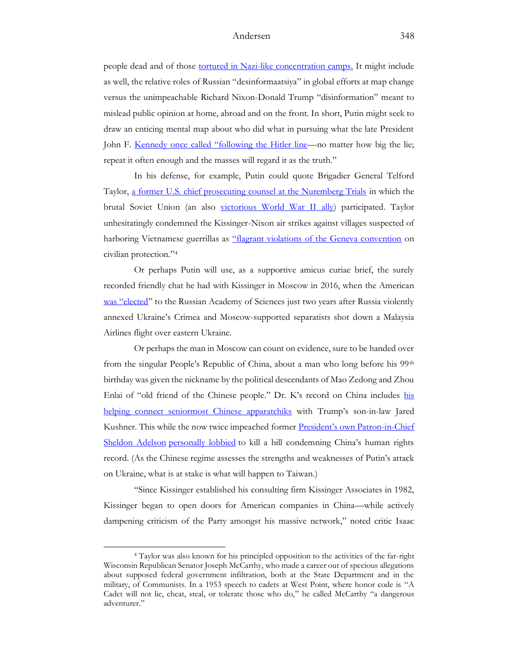people dead and of those [tortured in Nazi-like concentration camps.](https://www.theguardian.com/theguardian/1999/mar/24/guardianweekly.guardianweekly1) It might include as well, the relative roles of Russian "desinformaatsiya" in global efforts at map change versus the unimpeachable Richard Nixon-Donald Trump "disinformation" meant to mislead public opinion at home, abroad and on the front. In short, Putin might seek to draw an enticing mental map about who did what in pursuing what the late President John F. [Kennedy once called "following the Hitler line—](https://www.jfklibrary.org/archives/other-resources/john-f-kennedy-speeches/east-boston-ma-19470518)no matter how big the lie; repeat it often enough and the masses will regard it as the truth."

In his defense, for example, Putin could quote Brigadier General Telford Taylor, [a former U.S. chief prosecuting counsel at the Nuremberg Trials](https://www.nytimes.com/1998/05/25/nyregion/telford-taylor-who-prosecuted-nazis-at-nuremberg-war-crimes-trials-is-dead-at-90.html) in which the brutal Soviet Union (an also [victorious World War II ally\)](https://warontherocks.com/2020/06/setting-the-record-straight-on-the-soviets-at-nuremberg/) participated. Taylor unhesitatingly condemned the Kissinger-Nixon air strikes against villages suspected of harboring Vietnamese guerrillas as ["flagrant violations of the Geneva convention](https://books.google.com/books?id=UMzG_rnhw_AC&pg=PA798&lpg=PA798&dq=Telford+Taylor+Vietnam+flagrant+violations+of+the+Geneva+convention+on+civilian+protection.&source=bl&ots=9GTuQovdoY&sig=ACfU3U2hnesxidQHWmFkTPLBYyXZpZCqEw&hl=en&sa=X&ved=2ahUKEwjU8f2Fg-L2AhXAhHIEHVDlB0sQ6AF6BAgUEAM#v=onepage&q=Telford%20Taylor%20Vietnam%20flagrant%20violations%20of%20the%20Geneva%20convention%20on%20civilian%20protection.&f=false) on civilian protection."<sup>4</sup>

Or perhaps Putin will use, as a supportive amicus curiae brief, the surely recorded friendly chat he had with Kissinger in Moscow in 2016, when the American [was "elected"](https://www.themoscowtimes.com/2016/10/28/henry-kissinger-elected-member-of-russian-academy-of-sciences-a55930) to the Russian Academy of Sciences just two years after Russia violently annexed Ukraine's Crimea and Moscow-supported separatists shot down a Malaysia Airlines flight over eastern Ukraine.

Or perhaps the man in Moscow can count on evidence, sure to be handed over from the singular People's Republic of China, about a man who long before his 99<sup>th</sup> birthday was given the nickname by the political descendants of Mao Zedong and Zhou Enlai of "old friend of the Chinese people." Dr. K's record on China includes his [helping connect seniormost Chinese apparatchiks](https://qz.com/950103/at-age-93-henry-kissinger-appears-to-have-played-a-cruical-role-in-the-xi-jinping-donald-trump-summit/) with Trump's son-in-law Jared Kushner. This while the now twice impeached former [President's own Patron](https://www.spectator.co.uk/article/how-kissinger-was-played-by-china)-in-Chief [Sheldon Adelson](https://www.spectator.co.uk/article/how-kissinger-was-played-by-china) [personally lobbied](https://www.newyorker.com/magazine/2008/06/30/the-brass-ring) to kill a bill condemning China's human rights record. (As the Chinese regime assesses the strengths and weaknesses of Putin's attack on Ukraine, what is at stake is what will happen to Taiwan.)

"Since Kissinger established his consulting firm Kissinger Associates in 1982, Kissinger began to open doors for American companies in China—while actively dampening criticism of the Party amongst his massive network," noted critic Isaac

<sup>4</sup> Taylor was also known for his principled opposition to the activities of the far-right Wisconsin Republican Senator Joseph McCarthy, who made a career out of specious allegations about supposed federal government infiltration, both at the State Department and in the military, of Communists. In a 1953 speech to cadets at West Point, where honor code is "A Cadet will not lie, cheat, steal, or tolerate those who do," he called McCarthy "a dangerous adventurer."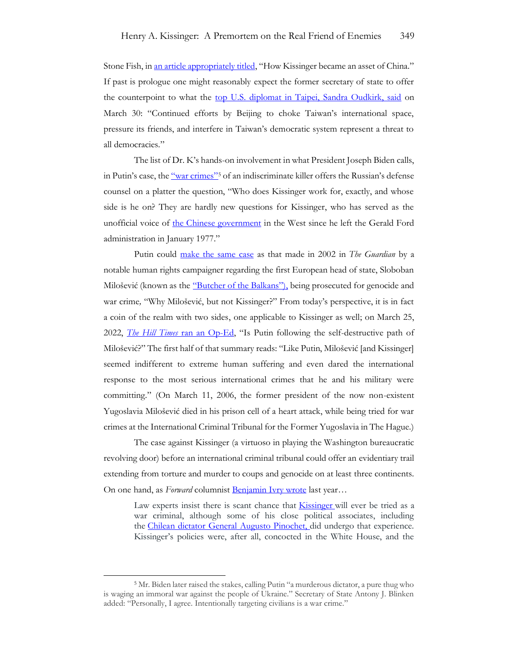Stone Fish, in [an article appropriately titled](https://www.spectator.co.uk/article/how-kissinger-was-played-by-china), "How Kissinger became an asset of China." If past is prologue one might reasonably expect the former secretary of state to offer the counterpoint to what the [top U.S. diplomat in Taipei, Sandra Oudkirk, said](https://www.reuters.com/world/asia-pacific/us-says-chinas-pressure-taiwan-threat-all-democracies-2022-03-31/) on March 30: "Continued efforts by Beijing to choke Taiwan's international space, pressure its friends, and interfere in Taiwan's democratic system represent a threat to all democracies."

The list of Dr. K's hands-on involvement in what President Joseph Biden calls, in Putin's case, the ["war crimes"](https://www.nytimes.com/2022/03/17/us/politics/biden-putin-war-criminal.html)<sup>5</sup> of an indiscriminate killer offers the Russian's defense counsel on a platter the question, "Who does Kissinger work for, exactly, and whose side is he on? They are hardly new questions for Kissinger, who has served as the unofficial voice of [the Chinese government](https://2017-2021.state.gov/ccpabuses/index.html) in the West since he left the Gerald Ford administration in January 1977."

Putin could [make the same case](https://www.theguardian.com/world/2002/apr/25/milosevictrial.petertatchell) as that made in 2002 in *The Guardian* by a notable human rights campaigner regarding the first European head of state, Sloboban Milošević (known as the ["Butcher of the Balkans"\)](https://www.history.com/this-day-in-history/milosevic-goes-on-trial-for-war-crimes), being prosecuted for genocide and war crime*,* "Why Milošević, but not Kissinger?" From today's perspective, it is in fact a coin of the realm with two sides, one applicable to Kissinger as well; on March 25, 2022, *The Hill Times* [ran an Op-Ed](https://www.hilltimes.com/2022/03/23/is-putin-following-the-self-destructive-path-of-slobodan-milosevic/351241), "Is Putin following the self-destructive path of Milošević?" The first half of that summary reads: "Like Putin, Milošević [and Kissinger] seemed indifferent to extreme human suffering and even dared the international response to the most serious international crimes that he and his military were committing." (On March 11, 2006, the former president of the now non-existent Yugoslavia Milošević died in his prison cell of a heart attack, while being tried for war crimes at the International Criminal Tribunal for the Former Yugoslavia in The Hague.)

The case against Kissinger (a virtuoso in playing the Washington bureaucratic revolving door) before an international criminal tribunal could offer an evidentiary trail extending from torture and murder to coups and genocide on at least three continents. On one hand, as *Forward* columnist **Benjamin Ivry wrote** last year...

Law experts insist there is scant chance that **[Kissinger](https://www.amazon.com/Age-I-Henry-Kissinger/dp/0316273805/?tag=thefor03-20)** will ever be tried as a war criminal, although some of his close political associates, including the [Chilean dictator General Augusto Pinochet,](https://www.amazon.com/Ghosts-Sheridan-Circle-Washington-Assassination/dp/1469653508/?tag=thefor03-20) did undergo that experience. Kissinger's policies were, after all, concocted in the White House, and the

<sup>5</sup> Mr. Biden later raised the stakes, calling Putin "a murderous dictator, a pure thug who is waging an immoral war against the people of Ukraine." Secretary of State Antony J. Blinken added: "Personally, I agree. Intentionally targeting civilians is a war crime."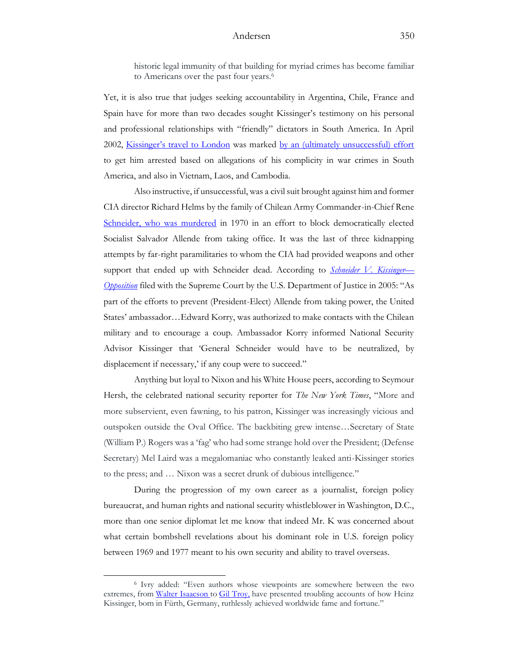historic legal immunity of that building for myriad crimes has become familiar to Americans over the past four years.<sup>6</sup>

Yet, it is also true that judges seeking accountability in Argentina, Chile, France and Spain have for more than two decades sought Kissinger's testimony on his personal and professional relationships with "friendly" dictators in South America. In April 2002, [Kissinger's travel to London](http://www.cnn.com/2002/WORLD/europe/04/24/uk.kissinger/index.html) was marked [by an \(ultimately unsuccessful\) effort](http://edition.cnn.com/2002/WORLD/europe/04/22/uk.kissinger/index.html) to get him arrested based on allegations of his complicity in war crimes in South America, and also in Vietnam, Laos, and Cambodia.

Also instructive, if unsuccessful, was a civil suit brought against him and former CIA director Richard Helms by the family of Chilean Army Commander-in-Chief Rene [Schneider, who was murdered](https://www.cbsnews.com/video/from-the-60-minutes-archives-schneider-v-kissinger/) in 1970 in an effort to block democratically elected Socialist Salvador Allende from taking office. It was the last of three kidnapping attempts by far-right paramilitaries to whom the CIA had provided weapons and other support that ended up with Schneider dead. According to *[Schneider V. Kissinger](https://www.justice.gov/osg/brief/schneider-v-kissinger-opposition)— [Opposition](https://www.justice.gov/osg/brief/schneider-v-kissinger-opposition)* filed with the Supreme Court by the U.S. Department of Justice in 2005: "As part of the efforts to prevent (President-Elect) Allende from taking power, the United States' ambassador…Edward Korry, was authorized to make contacts with the Chilean military and to encourage a coup. Ambassador Korry informed National Security Advisor Kissinger that 'General Schneider would have to be neutralized, by displacement if necessary,' if any coup were to succeed."

Anything but loyal to Nixon and his White House peers, according to Seymour Hersh, the celebrated national security reporter for *The New York Times*, "More and more subservient, even fawning, to his patron, Kissinger was increasingly vicious and outspoken outside the Oval Office. The backbiting grew intense…Secretary of State (William P.) Rogers was a 'fag' who had some strange hold over the President; (Defense Secretary) Mel Laird was a megalomaniac who constantly leaked anti-Kissinger stories to the press; and … Nixon was a secret drunk of dubious intelligence."

During the progression of my own career as a journalist, foreign policy bureaucrat, and human rights and national security whistleblower in Washington, D.C., more than one senior diplomat let me know that indeed Mr. K was concerned about what certain bombshell revelations about his dominant role in U.S. foreign policy between 1969 and 1977 meant to his own security and ability to travel overseas.

<sup>6</sup> Ivry added: "Even authors whose viewpoints are somewhere between the two extremes, from [Walter Isaacson](https://www.amazon.com/Kissinger-Biography-Walter-Isaacson/dp/0743286979/?tag=thefor03-20) to [Gil Troy,](https://www.amazon.com/Moynihans-Moment-Americas-Against-Zionism/dp/0199920303/?tag=thefor03-20) have presented troubling accounts of how Heinz Kissinger, born in Fürth, Germany, ruthlessly achieved worldwide fame and fortune."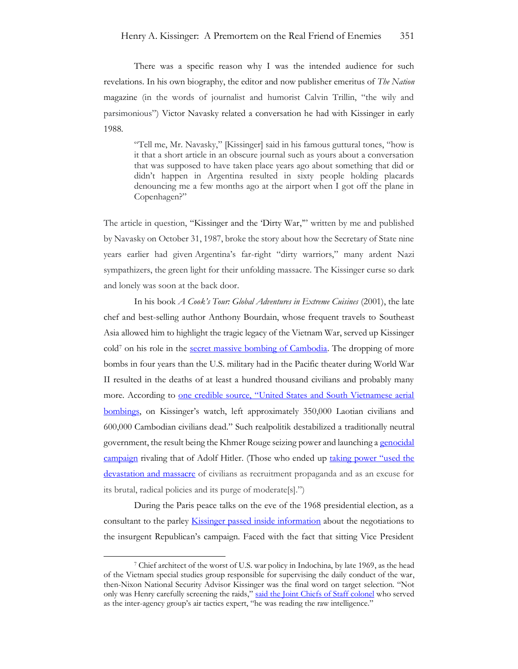There was a specific reason why I was the intended audience for such revelations. In his own biography, the editor and now publisher emeritus of *The Nation* magazine (in the words of journalist and humorist Calvin Trillin, "the wily and parsimonious") Victor Navasky related a conversation he had with Kissinger in early 1988.

"Tell me, Mr. Navasky," [Kissinger] said in his famous guttural tones, "how is it that a short article in an obscure journal such as yours about a conversation that was supposed to have taken place years ago about something that did or didn't happen in Argentina resulted in sixty people holding placards denouncing me a few months ago at the airport when I got off the plane in Copenhagen?"

The article in question, "Kissi[nger and the 'Dirty War](http://thenation.s3.amazonaws.com/pdf/11197743.pdf),'" written by me and published by Navasky on October 31, 1987, broke the story about how the Secretary of State nine years earlier had given Argentina's far-right "dirty warriors," many ardent Nazi sympathizers, the green light for their unfolding massacre. The Kissinger curse so dark and lonely was soon at the back door.

In his book *A Cook's Tour: Global Adventures in Extreme Cuisines* (2001), the late chef and best-selling author Anthony Bourdain, whose frequent travels to Southeast Asia allowed him to highlight the tragic legacy of the Vietnam War, served up Kissinger cold<sup>7</sup> on his role in the [secret massive bombing of Cambodia.](https://www.nytimes.com/roomfordebate/2016/02/13/henry-kissinger-sage-or-pariah/kissinger-was-a-courtier-to-atrocity) The dropping of more bombs in four years than the U.S. military had in the Pacific theater during World War II resulted in the deaths of at least a hundred thousand civilians and probably many more. According to one credible source, "United States and South Vietnamese aerial [bombings,](https://www.hrw.org/legacy/community/bookreviews/hitchens.htm) on Kissinger's watch, left approximately 350,000 Laotian civilians and 600,000 Cambodian civilians dead." Such realpolitik destabilized a traditionally neutral government, the result being the Khmer Rouge seizing power and launching a [genocidal](https://sfi.usc.edu/collections/cambodian-genocide)  [campaign](https://sfi.usc.edu/collections/cambodian-genocide) rivaling that of Adolf Hitler. (Those who ended up [taking power "u](https://www.culturalsurvival.org/publications/cultural-survival-quarterly/roots-genocide-new-evidence-us-bombardment-cambodia)sed the [devastation and massacre](https://www.culturalsurvival.org/publications/cultural-survival-quarterly/roots-genocide-new-evidence-us-bombardment-cambodia) of civilians as recruitment propaganda and as an excuse for its brutal, radical policies and its purge of moderate[s].")

During the Paris peace talks on the eve of the 1968 presidential election, as a consultant to the parley **Kissinger passed inside information** about the negotiations to the insurgent Republican's campaign. Faced with the fact that sitting Vice President

<sup>7</sup> Chief architect of the worst of U.S. war policy in Indochina, by late 1969, as the head of the Vietnam special studies group responsible for supervising the daily conduct of the war, then-Nixon National Security Advisor Kissinger was the final word on target selection. "Not only was Henry carefully screening the raids," [said the Joint Chiefs of Staff colonel](https://www.theguardian.com/world/2002/apr/25/milosevictrial.petertatchell) who served as the inter-agency group's air tactics expert, "he was reading the raw intelligence."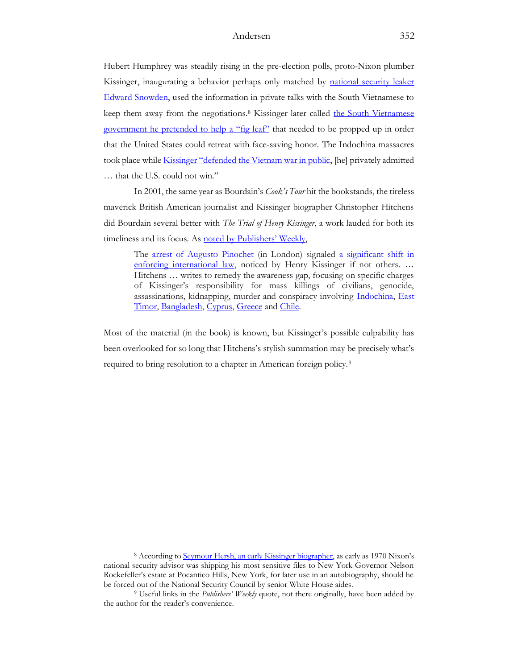Hubert Humphrey was steadily rising in the pre-election polls, proto-Nixon plumber Kissinger, inaugurating a behavior perhaps only matched by [national security leaker](https://www.academia.edu/27738673/Edward_Snowden_Leaker_Extraordinaire_in_the_Service_of_Putins_Gulag)  [Edward Snowden,](https://www.academia.edu/27738673/Edward_Snowden_Leaker_Extraordinaire_in_the_Service_of_Putins_Gulag) used the information in private talks with the South Vietnamese to keep them away from the negotiations.<sup>8</sup> Kissinger later called [the South Vietnamese](https://www.history.state.gov/historicaldocuments/frus1969-76v09/d13)  [government he pretended to help](https://www.history.state.gov/historicaldocuments/frus1969-76v09/d13) a "fig leaf" that needed to be propped up in order that the United States could retreat with face-saving honor. The Indochina massacres took place while [Kissinger "defended the Vietnam war in public](https://www.newyorker.com/magazine/2020/05/18/the-myth-of-henry-kissinger), [he] privately admitted … that the U.S. could not win."

In 2001, the same year as Bourdain's *Cook's Tour* hit the bookstands, the tireless maverick British American journalist and Kissinger biographer Christopher Hitchens did Bourdain several better with *The Trial of Henry Kissinger*, a work lauded for both its timeliness and its focus. As [noted by Publishers' Weekly](https://www.publishersweekly.com/978-1-85984-631-5),

The [arrest of Augusto Pinochet](https://www.theguardian.com/world/1998/oct/18/pinochet.chile) (in London) signaled a significant shift in [enforcing international law,](https://www.hrw.org/legacy/campaigns/chile98/index.htm) noticed by Henry Kissinger if not others. ... Hitchens … writes to remedy the awareness gap, focusing on specific charges of Kissinger's responsibility for mass killings of civilians, genocide, assassinations, kidnapping, murder and conspiracy involving [Indochina,](https://www.rollingstone.com/politics/politics-news/kissingers-indochina-obsession-will-he-bomb-again-237244/) [East](https://www.nytimes.com/2002/05/20/news/ford-and-kissinger-had-bigger-problems-we-will-understand-and-will-not.html)  [Timor,](https://www.nytimes.com/2002/05/20/news/ford-and-kissinger-had-bigger-problems-we-will-understand-and-will-not.html) [Bangladesh,](https://www.smithsonianmag.com/history/genocide-us-cant-remember-bangladesh-cant-forget-180961490/) [Cyprus,](https://www.theguardian.com/books/2001/feb/26/extract.features11) [Greece](https://www.nytimes.com/1974/09/09/archives/cyprus-recapitulation-how-u-s-policy-appeared-to-shift-course.html) and [Chile.](https://www.politico.com/magazine/story/2017/01/henry-kissinger-jimmy-carter-chile-214603/)

Most of the material (in the book) is known, but Kissinger's possible culpability has been overlooked for so long that Hitchens's stylish summation may be precisely what's required to bring resolution to a chapter in American foreign policy.<sup>9</sup>

<sup>8</sup> According t[o Seymour Hersh, an early Kissinger biographer](https://www.theatlantic.com/magazine/archive/1982/05/kissinger-and-nixon-in-the-white-house/308778/), as early as 1970 Nixon's national security advisor was shipping his most sensitive files to New York Governor Nelson Rockefeller's estate at Pocantico Hills, New York, for later use in an autobiography, should he be forced out of the National Security Council by senior White House aides.

<sup>9</sup> Useful links in the *Publishers' Weekly* quote, not there originally, have been added by the author for the reader's convenience.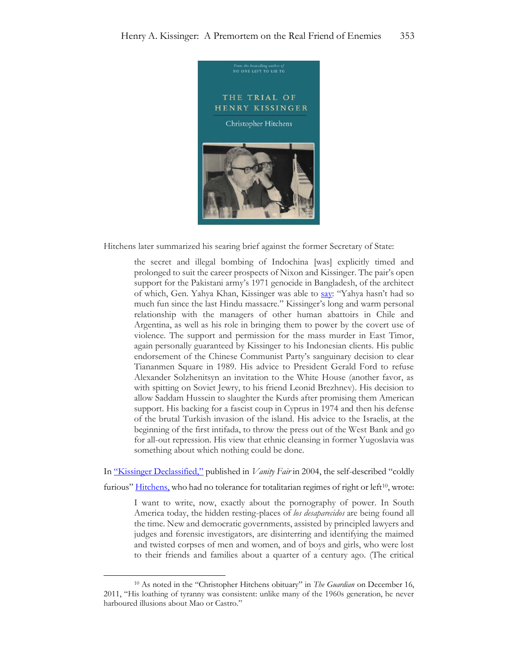

Hitchens later summarized his searing brief against the former Secretary of State:

the secret and illegal bombing of Indochina [was] explicitly timed and prolonged to suit the career prospects of Nixon and Kissinger. The pair's open support for the Pakistani army's 1971 genocide in Bangladesh, of the architect of which, Gen. Yahya Khan, Kissinger was able to [say](http://www.gwu.edu/~nsarchiv/NSAEBB/NSAEBB66/ch-41.pdf): "Yahya hasn't had so much fun since the last Hindu massacre." Kissinger's long and warm personal relationship with the managers of other human abattoirs in Chile and Argentina, as well as his role in bringing them to power by the covert use of violence. The support and permission for the mass murder in East Timor, again personally guaranteed by Kissinger to his Indonesian clients. His public endorsement of the Chinese Communist Party's sanguinary decision to clear Tiananmen Square in 1989. His advice to President Gerald Ford to refuse Alexander Solzhenitsyn an invitation to the White House (another favor, as with spitting on Soviet Jewry, to his friend Leonid Brezhnev). His decision to allow Saddam Hussein to slaughter the Kurds after promising them American support. His backing for a fascist coup in Cyprus in 1974 and then his defense of the brutal Turkish invasion of the island. His advice to the Israelis, at the beginning of the first intifada, to throw the press out of the West Bank and go for all-out repression. His view that ethnic cleansing in former Yugoslavia was something about which nothing could be done.

In ["Kissinger Declassified,"](https://www.vanityfair.com/news/2004/12/hitchens200412) published in *Vanity Fair* in 2004, the self-described "coldly

furious" [Hitchens,](https://www.theguardian.com/books/2011/dec/16/christopher-hitchens-obituary) who had no tolerance for totalitarian regimes of right or left<sup>10</sup>, wrote:

I want to write, now, exactly about the pornography of power. In South America today, the hidden resting-places of *los desaparecidos* are being found all the time. New and democratic governments, assisted by principled lawyers and judges and forensic investigators, are disinterring and identifying the maimed and twisted corpses of men and women, and of boys and girls, who were lost to their friends and families about a quarter of a century ago. (The critical

<sup>10</sup> As noted in the "Christopher Hitchens obituary" in *The Guardian* on December 16, 2011, "His loathing of tyranny was consistent: unlike many of the 1960s generation, he never harboured illusions about Mao or Castro."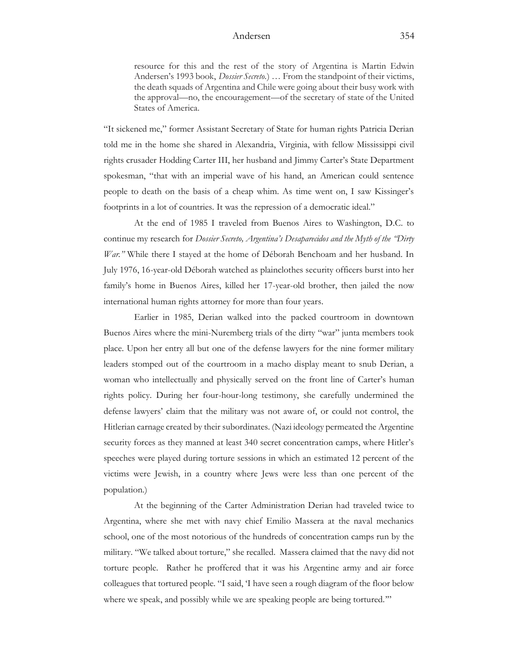resource for this and the rest of the story of Argentina is Martin Edwin Andersen's 1993 book, *Dossier Secreto.*) … From the standpoint of their victims, the death squads of Argentina and Chile were going about their busy work with the approval—no, the encouragement—of the secretary of state of the United States of America.

"It sickened me," former Assistant Secretary of State for human rights Patricia Derian told me in the home she shared in Alexandria, Virginia, with fellow Mississippi civil rights crusader Hodding Carter III, her husband and Jimmy Carter's State Department spokesman, "that with an imperial wave of his hand, an American could sentence people to death on the basis of a cheap whim. As time went on, I saw Kissinger's footprints in a lot of countries. It was the repression of a democratic ideal."

At the end of 1985 I traveled from Buenos Aires to Washington, D.C. to continue my research for *Dossier Secreto, Argentina's Desaparecidos and the Myth of the "Dirty War."* While there I stayed at the home of Déborah Benchoam and her husband. In July 1976, 16-year-old Déborah watched as plainclothes security officers burst into her family's home in Buenos Aires, killed her 17-year-old brother, then jailed the now international human rights attorney for more than four years.

Earlier in 1985, Derian walked into the packed courtroom in downtown Buenos Aires where the mini-Nuremberg trials of the dirty "war" junta members took place. Upon her entry all but one of the defense lawyers for the nine former military leaders stomped out of the courtroom in a macho display meant to snub Derian, a woman who intellectually and physically served on the front line of Carter's human rights policy. During her four-hour-long testimony, she carefully undermined the defense lawyers' claim that the military was not aware of, or could not control, the Hitlerian carnage created by their subordinates. (Nazi ideology permeated the Argentine security forces as they manned at least 340 secret concentration camps, where Hitler's speeches were played during torture sessions in which an estimated 12 percent of the victims were Jewish, in a country where Jews were less than one percent of the population.)

At the beginning of the Carter Administration Derian had traveled twice to Argentina, where she met with navy chief Emilio Massera at the naval mechanics school, one of the most notorious of the hundreds of concentration camps run by the military. "We talked about torture," she recalled. Massera claimed that the navy did not torture people. Rather he proffered that it was his Argentine army and air force colleagues that tortured people. "I said, 'I have seen a rough diagram of the floor below where we speak, and possibly while we are speaking people are being tortured.""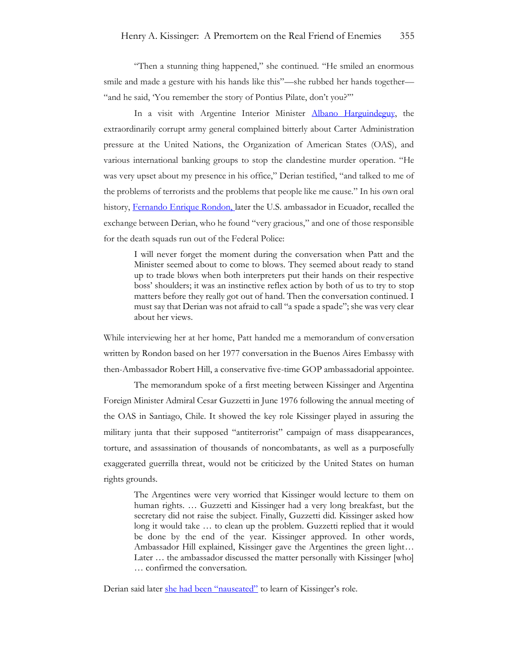"Then a stunning thing happened," she continued. "He smiled an enormous smile and made a gesture with his hands like this"—she rubbed her hands together— "and he said, 'You remember the story of Pontius Pilate, don't you?""

In a visit with Argentine Interior Minister **Albano Harguindeguy**, the extraordinarily corrupt army general complained bitterly about Carter Administration pressure at the United Nations, the Organization of American States (OAS), and various international banking groups to stop the clandestine murder operation. "He was very upset about my presence in his office," Derian testified, "and talked to me of the problems of terrorists and the problems that people like me cause." In his own oral history, [Fernando Enrique Rondon,](https://www.adst.org/OH%20TOCs/Rondon,%20Fernando%20E..toc.pdf) later the U.S. ambassador in Ecuador, recalled the exchange between Derian, who he found "very gracious," and one of those responsible for the death squads run out of the Federal Police:

I will never forget the moment during the conversation when Patt and the Minister seemed about to come to blows. They seemed about ready to stand up to trade blows when both interpreters put their hands on their respective boss' shoulders; it was an instinctive reflex action by both of us to try to stop matters before they really got out of hand. Then the conversation continued. I must say that Derian was not afraid to call "a spade a spade"; she was very clear about her views.

While interviewing her at her home, Patt handed me a memorandum of conversation written by Rondon based on her 1977 conversation in the Buenos Aires Embassy with then-Ambassador Robert Hill, a conservative five-time GOP ambassadorial appointee.

The memorandum spoke of a first meeting between Kissinger and Argentina Foreign Minister Admiral Cesar Guzzetti in June 1976 following the annual meeting of the OAS in Santiago, Chile. It showed the key role Kissinger played in assuring the military junta that their supposed "antiterrorist" campaign of mass disappearances, torture, and assassination of thousands of noncombatants, as well as a purposefully exaggerated guerrilla threat, would not be criticized by the United States on human rights grounds.

The Argentines were very worried that Kissinger would lecture to them on human rights. … Guzzetti and Kissinger had a very long breakfast, but the secretary did not raise the subject. Finally, Guzzetti did. Kissinger asked how long it would take … to clean up the problem. Guzzetti replied that it would be done by the end of the year. Kissinger approved. In other words, Ambassador Hill explained, Kissinger gave the Argentines the green light… Later … the ambassador discussed the matter personally with Kissinger [who] … confirmed the conversation.

Derian said later [she had been "nauseated"](https://www.academia.edu/37332116/Kissinger_and_the_Dirty_War_) to learn of Kissinger's role.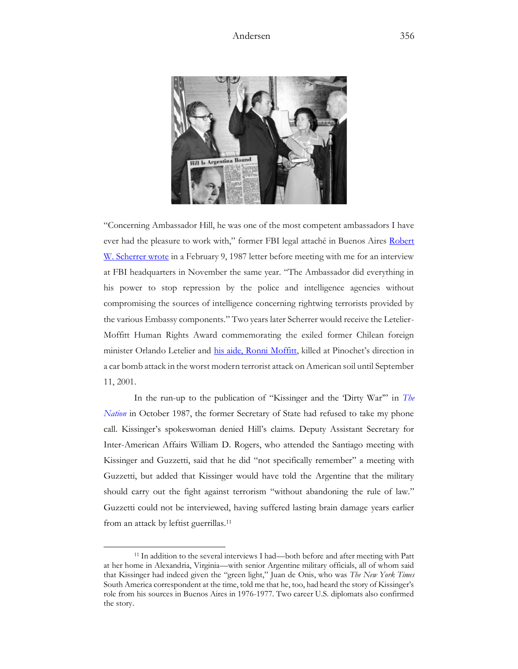

"Concerning Ambassador Hill, he was one of the most competent ambassadors I have ever had the pleasure to work with," former FBI legal attaché in Buenos Aires [Robert](https://www.academia.edu/23492166/Double_Agent_Mario_Firmenich_Argentine_Montonero_guerrilla_leader_and_Army_Intelligence_operative_1_)  [W. Scherrer wrote](https://www.academia.edu/23492166/Double_Agent_Mario_Firmenich_Argentine_Montonero_guerrilla_leader_and_Army_Intelligence_operative_1_) in a February 9, 1987 letter before meeting with me for an interview at FBI headquarters in November the same year. "The Ambassador did everything in his power to stop repression by the police and intelligence agencies without compromising the sources of intelligence concerning rightwing terrorists provided by the various Embassy components." Two years later Scherrer would receive the Letelier-Moffitt Human Rights Award commemorating the exiled former Chilean foreign minister Orlando Letelier and [his aide, Ronni Moffitt](https://www.washingtonpost.com/sf/national/2016/09/20/this-was-not-an-accident-this-was-a-bomb/), killed at Pinochet's direction in a car bomb attack in the worst modern terrorist attack on American soil until September 11, 2001.

In the run-up to the publication of "Kissinger and the 'Dirty War'" in *[The](https://www.academia.edu/37332116/Kissinger_and_the_Dirty_War_)  [Nation](https://www.academia.edu/37332116/Kissinger_and_the_Dirty_War_)* in October 1987, the former Secretary of State had refused to take my phone call. Kissinger's spokeswoman denied Hill's claims. Deputy Assistant Secretary for Inter-American Affairs William D. Rogers, who attended the Santiago meeting with Kissinger and Guzzetti, said that he did "not specifically remember" a meeting with Guzzetti, but added that Kissinger would have told the Argentine that the military should carry out the fight against terrorism "without abandoning the rule of law." Guzzetti could not be interviewed, having suffered lasting brain damage years earlier from an attack by leftist guerrillas.<sup>11</sup>

<sup>11</sup> In addition to the several interviews I had—both before and after meeting with Patt at her home in Alexandria, Virginia—with senior Argentine military officials, all of whom said that Kissinger had indeed given the "green light," Juan de Onis, who was *The New York Times* South America correspondent at the time, told me that he, too, had heard the story of Kissinger's role from his sources in Buenos Aires in 1976-1977. Two career U.S. diplomats also confirmed the story.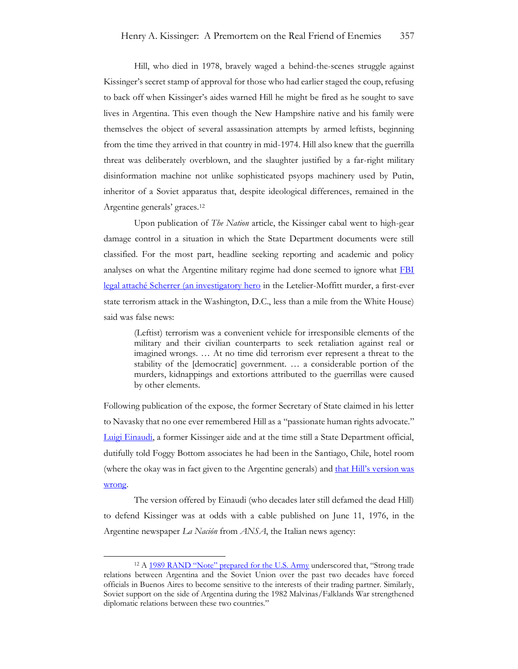Hill, who died in 1978, bravely waged a behind-the-scenes struggle against Kissinger's secret stamp of approval for those who had earlier staged the coup, refusing to back off when Kissinger's aides warned Hill he might be fired as he sought to save lives in Argentina. This even though the New Hampshire native and his family were themselves the object of several assassination attempts by armed leftists, beginning from the time they arrived in that country in mid-1974. Hill also knew that the guerrilla threat was deliberately overblown, and the slaughter justified by a far-right military disinformation machine not unlike sophisticated psyops machinery used by Putin, inheritor of a Soviet apparatus that, despite ideological differences, remained in the Argentine generals' graces.<sup>12</sup>

Upon publication of *The Nation* article, the Kissinger cabal went to high-gear damage control in a situation in which the State Department documents were still classified. For the most part, headline seeking reporting and academic and policy analyses on what the Argentine military regime had done seemed to ignore what FBI legal attaché [Scherrer \(an investigatory hero](https://www.academia.edu/23492166/Double_Agent_Mario_Firmenich_Argentine_Montonero_guerrilla_leader_and_Army_Intelligence_operative_1_) in the Letelier-Moffitt murder, a first-ever state terrorism attack in the Washington, D.C., less than a mile from the White House) said was false news:

(Leftist) terrorism was a convenient vehicle for irresponsible elements of the military and their civilian counterparts to seek retaliation against real or imagined wrongs. … At no time did terrorism ever represent a threat to the stability of the [democratic] government. … a considerable portion of the murders, kidnappings and extortions attributed to the guerrillas were caused by other elements.

Following publication of the expose, the former Secretary of State claimed in his letter to Navasky that no one ever remembered Hill as a "passionate human rights advocate." [Luigi Einaudi,](https://news.cornell.edu/stories/2017/01/diplomat-luigi-einaudi-honored-defense-education-work) a former Kissinger aide and at the time still a State Department official, dutifully told Foggy Bottom associates he had been in the Santiago, Chile, hotel room (where the okay was in fact given to the Argentine generals) and that Hill's version was [wrong.](https://www.nytimes.com/2004/08/27/world/papers-show-no-protest-by-kissinger-on-argentina.html)

The version offered by Einaudi (who decades later still defamed the dead Hill) to defend Kissinger was at odds with a cable published on June 11, 1976, in the Argentine newspaper *La Nación* from *ANSA*, the Italian news agency:

<sup>&</sup>lt;sup>12</sup> A [1989 RAND "Note" prepared for the U.S. Army](https://www.rand.org/content/dam/rand/pubs/notes/2009/N2916.pdf) underscored that, "Strong trade relations between Argentina and the Soviet Union over the past two decades have forced officials in Buenos Aires to become sensitive to the interests of their trading partner. Similarly, Soviet support on the side of Argentina during the 1982 Malvinas/Falklands War strengthened diplomatic relations between these two countries."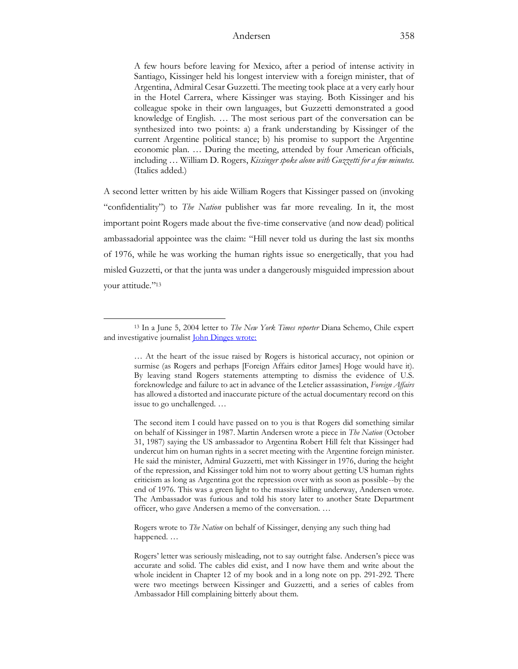A few hours before leaving for Mexico, after a period of intense activity in Santiago, Kissinger held his longest interview with a foreign minister, that of Argentina, Admiral Cesar Guzzetti. The meeting took place at a very early hour in the Hotel Carrera, where Kissinger was staying. Both Kissinger and his colleague spoke in their own languages, but Guzzetti demonstrated a good knowledge of English. … The most serious part of the conversation can be synthesized into two points: a) a frank understanding by Kissinger of the current Argentine political stance; b) his promise to support the Argentine economic plan. … During the meeting, attended by four American officials, including … William D. Rogers, *Kissinger spoke alone with Guzzetti for a few minutes.*  (Italics added.)

A second letter written by his aide William Rogers that Kissinger passed on (invoking "confidentiality") to *The Nation* publisher was far more revealing. In it, the most important point Rogers made about the five-time conservative (and now dead) political ambassadorial appointee was the claim: "Hill never told us during the last six months of 1976, while he was working the human rights issue so energetically, that you had misled Guzzetti, or that the junta was under a dangerously misguided impression about your attitude." 13

Rogers wrote to *The Nation* on behalf of Kissinger, denying any such thing had happened. …

<sup>13</sup> In a June 5, 2004 letter to *The New York Times reporter* Diana Schemo, Chile expert and investigative journalis[t John Dinges wrote:](https://www.johndinges.com/condor/NYT%20letter.htm)

<sup>…</sup> At the heart of the issue raised by Rogers is historical accuracy, not opinion or surmise (as Rogers and perhaps [Foreign Affairs editor James] Hoge would have it). By leaving stand Rogers statements attempting to dismiss the evidence of U.S. foreknowledge and failure to act in advance of the Letelier assassination, *Foreign Affairs* has allowed a distorted and inaccurate picture of the actual documentary record on this issue to go unchallenged. …

The second item I could have passed on to you is that Rogers did something similar on behalf of Kissinger in 1987. Martin Andersen wrote a piece in *The Nation* (October 31, 1987) saying the US ambassador to Argentina Robert Hill felt that Kissinger had undercut him on human rights in a secret meeting with the Argentine foreign minister. He said the minister, Admiral Guzzetti, met with Kissinger in 1976, during the height of the repression, and Kissinger told him not to worry about getting US human rights criticism as long as Argentina got the repression over with as soon as possible--by the end of 1976. This was a green light to the massive killing underway, Andersen wrote. The Ambassador was furious and told his story later to another State Department officer, who gave Andersen a memo of the conversation. …

Rogers' letter was seriously misleading, not to say outright false. Andersen's piece was accurate and solid. The cables did exist, and I now have them and write about the whole incident in Chapter 12 of my book and in a long note on pp. 291-292. There were two meetings between Kissinger and Guzzetti, and a series of cables from Ambassador Hill complaining bitterly about them.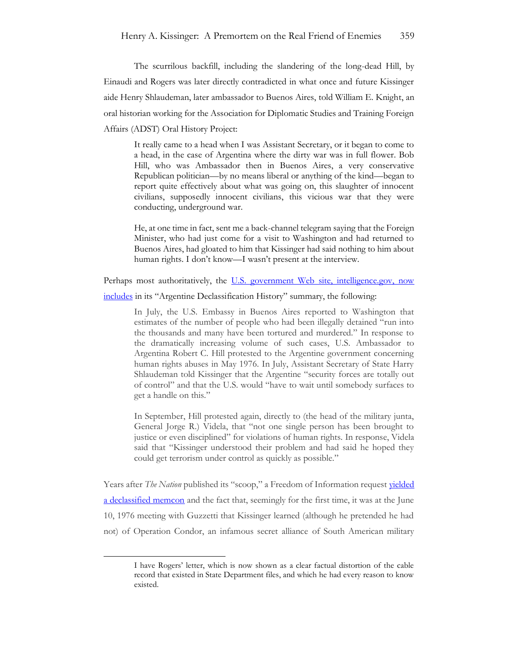The scurrilous backfill, including the slandering of the long-dead Hill, by Einaudi and Rogers was later directly contradicted in what once and future Kissinger aide Henry Shlaudeman, later ambassador to Buenos Aires, told William E. Knight, an oral historian working for the Association for Diplomatic Studies and Training Foreign Affairs (ADST) Oral History Project:

It really came to a head when I was Assistant Secretary, or it began to come to a head, in the case of Argentina where the dirty war was in full flower. Bob Hill, who was Ambassador then in Buenos Aires, a very conservative Republican politician—by no means liberal or anything of the kind—began to report quite effectively about what was going on, this slaughter of innocent civilians, supposedly innocent civilians, this vicious war that they were conducting, underground war.

He, at one time in fact, sent me a back-channel telegram saying that the Foreign Minister, who had just come for a visit to Washington and had returned to Buenos Aires, had gloated to him that Kissinger had said nothing to him about human rights. I don't know—I wasn't present at the interview.

Perhaps most authoritatively, the U.S. government Web site, intelligence.gov, now [includes](https://www.intelligence.gov/argentina-declassification-project/history) in its "Argentine Declassification History" summary, the following:

> In July, the U.S. Embassy in Buenos Aires reported to Washington that estimates of the number of people who had been illegally detained "run into the thousands and many have been tortured and murdered." In response to the dramatically increasing volume of such cases, U.S. Ambassador to Argentina Robert C. Hill protested to the Argentine government concerning human rights abuses in May 1976. In July, Assistant Secretary of State Harry Shlaudeman told Kissinger that the Argentine "security forces are totally out of control" and that the U.S. would "have to wait until somebody surfaces to get a handle on this."

> In September, Hill protested again, directly to (the head of the military junta, General Jorge R.) Videla, that "not one single person has been brought to justice or even disciplined" for violations of human rights. In response, Videla said that "Kissinger understood their problem and had said he hoped they could get terrorism under control as quickly as possible."

Years after *The Nation* published its "scoop," a Freedom of Information request yielded [a declassified memcon](https://nsarchive.gwu.edu/document/21755-document-02) and the fact that, seemingly for the first time, it was at the June 10, 1976 meeting with Guzzetti that Kissinger learned (although he pretended he had not) of Operation Condor, an infamous secret alliance of South American military

I have Rogers' letter, which is now shown as a clear factual distortion of the cable record that existed in State Department files, and which he had every reason to know existed.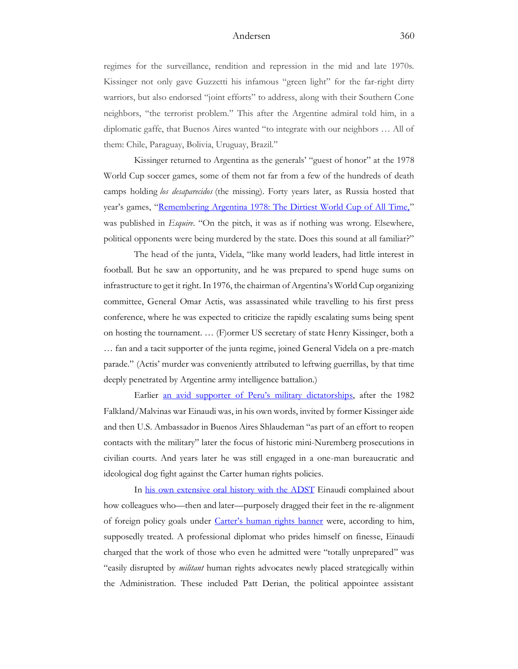regimes for the surveillance, rendition and repression in the mid and late 1970s. Kissinger not only gave Guzzetti his infamous "green light" for the far-right dirty warriors, but also endorsed "joint efforts" to address, along with their Southern Cone neighbors, "the terrorist problem." This after the Argentine admiral told him, in a diplomatic gaffe, that Buenos Aires wanted "to integrate with our neighbors … All of them: Chile, Paraguay, Bolivia, Uruguay, Brazil."

Kissinger returned to Argentina as the generals' "guest of honor" at the 1978 World Cup soccer games, some of them not far from a few of the hundreds of death camps holding *los desaparecidos* (the missing). Forty years later, as Russia hosted that year's games, "[Remembering Argentina 1978: The Dirtiest World Cup of All Time,](https://www.esquire.com/uk/culture/a21454856/argentina-1978-world-cup/)" was published in *Esquire*. "On the pitch, it was as if nothing was wrong. Elsewhere, political opponents were being murdered by the state. Does this sound at all familiar?"

The head of the junta, Videla, "like many world leaders, had little interest in football. But he saw an opportunity, and he was prepared to spend huge sums on infrastructure to get it right. In 1976, the chairman of Argentina's World Cup organizing committee, General Omar Actis, was assassinated while travelling to his first press conference, where he was expected to criticize the rapidly escalating sums being spent on hosting the tournament. … (F)ormer US secretary of state Henry Kissinger, both a … fan and a tacit supporter of the junta regime, joined General Videla on a pre-match parade." (Actis' murder was conveniently attributed to leftwing guerrillas, by that time deeply penetrated by Argentine army intelligence battalion.)

Earlier an avid supporter of [Peru's military dictatorship](https://www.nytimes.com/1992/12/27/opinion/americas-dance-with-a-dictator.html)s, after the 1982 Falkland/Malvinas war Einaudi was, in his own words, invited by former Kissinger aide and then U.S. Ambassador in Buenos Aires Shlaudeman "as part of an effort to reopen contacts with the military" later the focus of historic mini-Nuremberg prosecutions in civilian courts. And years later he was still engaged in a one-man bureaucratic and ideological dog fight against the Carter human rights policies.

In [his own extensive oral history with the ADST](https://www.adst.org/OH%20TOCs/Einaudi.Luigi.pdf) Einaudi complained about how colleagues who—then and later—purposely dragged their feet in the re-alignment of foreign policy goals under [Carter's human rights banner](https://millercenter.org/president/carter/foreign-affairs) were, according to him, supposedly treated. A professional diplomat who prides himself on finesse, Einaudi charged that the work of those who even he admitted were "totally unprepared" was "easily disrupted by *militant* human rights advocates newly placed strategically within the Administration. These included Patt Derian, the political appointee assistant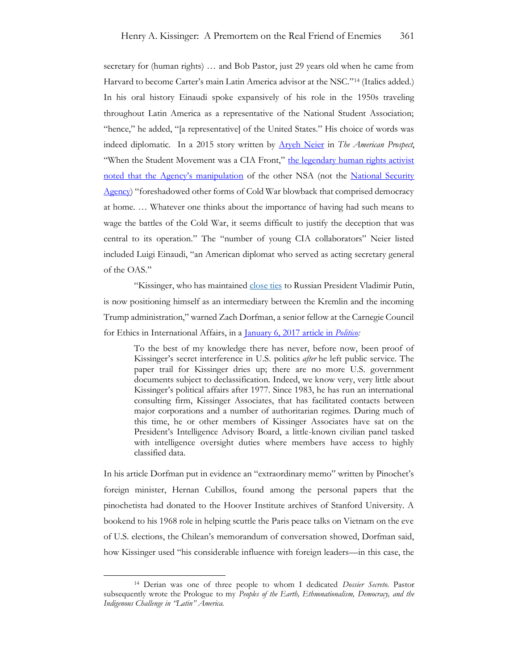secretary for (human rights) … and Bob Pastor, just 29 years old when he came from Harvard to become Carter's main Latin America advisor at the NSC."<sup>14</sup> (Italics added.) In his oral history Einaudi spoke expansively of his role in the 1950s traveling throughout Latin America as a representative of the National Student Association; "hence," he added, "[a representative] of the United States." His choice of words was indeed diplomatic. In a 2015 story written by [Aryeh Neier](https://www.project-syndicate.org/commentary/ordinary-russians-responsible-for-supporting-putin-by-aryeh-neier-2022-03) in *The American Prospect*, "When the Student Movement was a CIA Front," the legendary human rights activist noted that the [Agency's manipulation](https://prospect.org/culture/books/student-movement-cia-front/?fbclid=IwAR2aSS3JbfPmoEj06lj1KSzUiJ1fqbD9VNB5H2gteNefv-9LkzBT8uIs7y0) of the other NSA (not the National Security [Agency\)](https://www.britannica.com/topic/National-Security-Agency) "foreshadowed other forms of Cold War blowback that comprised democracy at home. … Whatever one thinks about the importance of having had such means to wage the battles of the Cold War, it seems difficult to justify the deception that was central to its operation." The "number of young CIA collaborators" Neier listed included Luigi Einaudi, "an American diplomat who served as acting secretary general of the OAS."

"Kissinger, who has maintained [close ties](http://www.politico.com/story/2016/12/trump-kissinger-russia-putin-232925) to Russian President Vladimir Putin, is now positioning himself as an intermediary between the Kremlin and the incoming Trump administration," warned Zach Dorfman, a senior fellow at the Carnegie Council for Ethics in International Affairs, in a [January 6, 2017 article in](https://www.politico.com/magazine/story/2017/01/henry-kissinger-jimmy-carter-chile-214603/) *Politico:*

To the best of my knowledge there has never, before now, been proof of Kissinger's secret interference in U.S. politics *after* he left public service. The paper trail for Kissinger dries up; there are no more U.S. government documents subject to declassification. Indeed, we know very, very little about Kissinger's political affairs after 1977. Since 1983, he has run an international consulting firm, Kissinger Associates, that has facilitated contacts between major corporations and a number of authoritarian regimes. During much of this time, he or other members of Kissinger Associates have sat on the President's Intelligence Advisory Board, a little-known civilian panel tasked with intelligence oversight duties where members have access to highly classified data.

In his article Dorfman put in evidence an "extraordinary memo" written by Pinochet's foreign minister, Hernan Cubillos, found among the personal papers that the pinochetista had donated to the Hoover Institute archives of Stanford University. A bookend to his 1968 role in helping scuttle the Paris peace talks on Vietnam on the eve of U.S. elections, the Chilean's memorandum of conversation showed, Dorfman said, how Kissinger used "his considerable influence with foreign leaders—in this case, the

<sup>14</sup> Derian was one of three people to whom I dedicated *Dossier Secreto*. Pastor subsequently wrote the Prologue to my *Peoples of the Earth, Ethnonationalism, Democracy, and the Indigenous Challenge in "Latin" America.*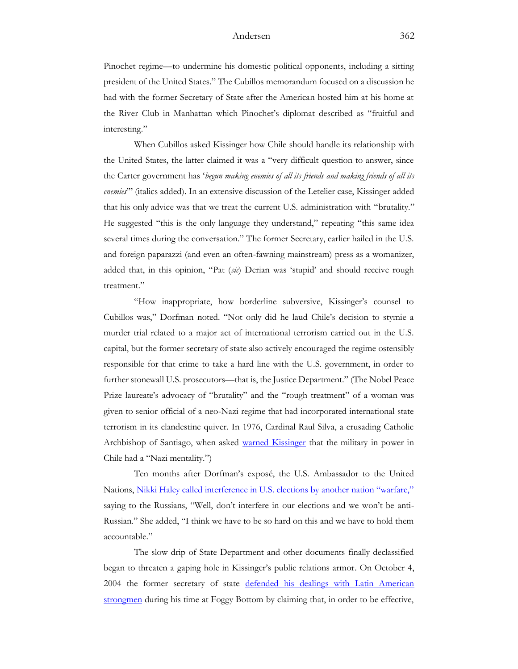Pinochet regime—to undermine his domestic political opponents, including a sitting president of the United States." The Cubillos memorandum focused on a discussion he had with the former Secretary of State after the American hosted him at his home at the River Club in Manhattan which Pinochet's diplomat described as "fruitful and interesting."

When Cubillos asked Kissinger how Chile should handle its relationship with the United States, the latter claimed it was a "very difficult question to answer, since the Carter government has '*begun making enemies of all its friends and making friends of all its enemies*'" (italics added). In an extensive discussion of the Letelier case, Kissinger added that his only advice was that we treat the current U.S. administration with "brutality." He suggested "this is the only language they understand," repeating "this same idea several times during the conversation." The former Secretary, earlier hailed in the U.S. and foreign paparazzi (and even an often-fawning mainstream) press as a womanizer, added that, in this opinion, "Pat (*sic*) Derian was 'stupid' and should receive rough treatment."

"How inappropriate, how borderline subversive, Kissinger's counsel to Cubillos was," Dorfman noted. "Not only did he laud Chile's decision to stymie a murder trial related to a major act of international terrorism carried out in the U.S. capital, but the former secretary of state also actively encouraged the regime ostensibly responsible for that crime to take a hard line with the U.S. government, in order to further stonewall U.S. prosecutors—that is, the Justice Department." (The Nobel Peace Prize laureate's advocacy of "brutality" and the "rough treatment" of a woman was given to senior official of a neo-Nazi regime that had incorporated international state terrorism in its clandestine quiver. In 1976, Cardinal Raul Silva, a crusading Catholic Archbishop of Santiago, when asked [warned Kissinger](https://history.state.gov/historicaldocuments/frus1969-76ve11p2/d229) that the military in power in Chile had a "Nazi mentality.")

Ten months after Dorfman's exposé, the U.S. Ambassador to the United Nations, [Nikki Haley called interference in U.S. elections by another nation "warfare,"](https://www.politico.com/story/2017/10/19/nikki-haley-russia-meddling-warfare-243942) saying to the Russians, "Well, don't interfere in our elections and we won't be anti-Russian." She added, "I think we have to be so hard on this and we have to hold them accountable."

The slow drip of State Department and other documents finally declassified began to threaten a gaping hole in Kissinger's public relations armor. On October 4, 2004 the former secretary of state defended his dealings with Latin American [strongmen](https://www.michigandaily.com/uncategorized/kissinger-defends-1970s-latin-america-policy/) during his time at Foggy Bottom by claiming that, in order to be effective,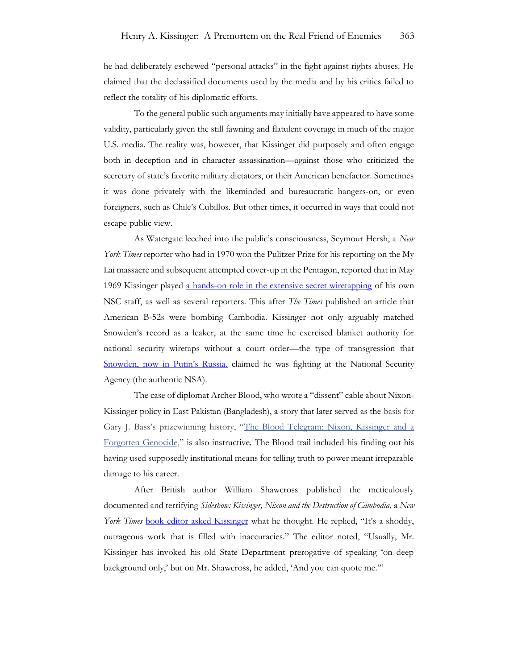he had deliberately eschewed "personal attacks" in the fight against rights abuses. He claimed that the declassified documents used by the media and by his critics failed to reflect the totality of his diplomatic efforts.

To the general public such arguments may initially have appeared to have some validity, particularly given the still fawning and flatulent coverage in much of the major U.S. media. The reality was, however, that Kissinger did purposely and often engage both in deception and in character assassination—against those who criticized the secretary of state's favorite military dictators, or their American benefactor. Sometimes it was done privately with the likeminded and bureaucratic hangers-on, or even foreigners, such as Chile's Cubillos. But other times, it occurred in ways that could not escape public view.

As Watergate leeched into the public's consciousness, Seymour Hersh, a *New York Times* reporter who had in 1970 won the Pulitzer Prize for his reporting on the My Lai massacre and subsequent attempted cover-up in the Pentagon, reported that in May 1969 Kissinger played [a hands-on role in the extensive secret wiretapping](https://www.nytimes.com/1973/05/17/archives/broad-role-cited.html) of his own NSC staff, as well as several reporters. This after *The Times* published an article that American B-52s were bombing Cambodia. Kissinger not only arguably matched Snowden's record as a leaker, at the same time he exercised blanket authority for national security wiretaps without a court order—the type of transgression that [Snowden, now in Putin's Russia](https://news.cgtn.com/news/2022-02-16/Snowden-questions-veracity-of-reports-about-invasion-of-Ukraine-17GQHqbF3NK/index.html), claimed he was fighting at the National Security Agency (the authentic NSA).

The case of diplomat Archer Blood, who wrote a "dissent" cable about Nixon-Kissinger policy in East Pakistan (Bangladesh), a story that later served as the basis for Gary J. Bass's prizewinning history, "The Blood [Telegram:](http://www.nytimes.com/2013/09/29/books/review/the-blood-telegram-by-gary-j-bass.html) Nixon, Kissinger and a [Forgotten](http://www.nytimes.com/2013/09/29/books/review/the-blood-telegram-by-gary-j-bass.html) Genocide," is also instructive. The Blood trail included his finding out his having used supposedly institutional means for telling truth to power meant irreparable damage to his career.

After British author William Shawcross published the meticulously documented and terrifying *Sideshow: Kissinger, Nixon and the Destruction of Cambodia,* a *New York Times* [book editor asked Kissinger](https://www.nytimes.com/1979/12/30/archives/book-ends-kissinger-vs-shawcross.html?searchResultPosition=30) what he thought. He replied, "It's a shoddy, outrageous work that is filled with inaccuracies." The editor noted, "Usually, Mr. Kissinger has invoked his old State Department prerogative of speaking 'on deep background only,' but on Mr. Shawcross, he added, 'And you can quote me.'"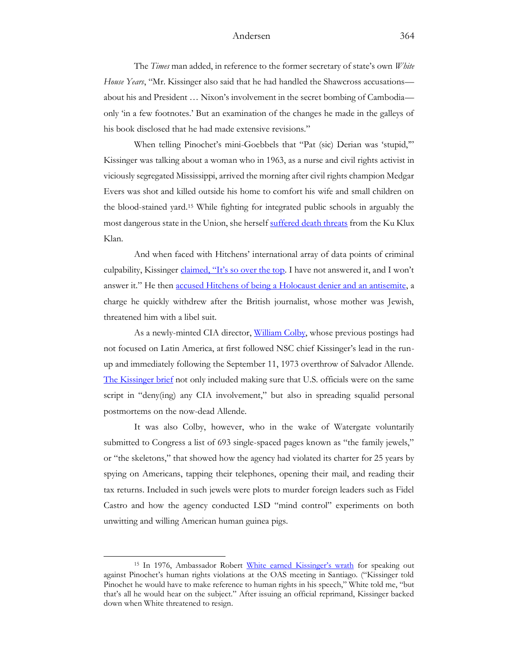The *Times* man added, in reference to the former secretary of state's own *White House Years*, "Mr. Kissinger also said that he had handled the Shawcross accusations about his and President … Nixon's involvement in the secret bombing of Cambodia only 'in a few footnotes.' But an examination of the changes he made in the galleys of his book disclosed that he had made extensive revisions."

When telling Pinochet's mini-Goebbels that "Pat (sic) Derian was 'stupid,'" Kissinger was talking about a woman who in 1963, as a nurse and civil rights activist in viciously segregated Mississippi, arrived the morning after civil rights champion Medgar Evers was shot and killed outside his home to comfort his wife and small children on the blood-stained yard.<sup>15</sup> While fighting for integrated public schools in arguably the most dangerous state in the Union, she herself [suffered death threats](https://books.google.com/books?id=jIzooiFd6IoC&pg=PA154&lpg=PA154&dq=Patricia+Derian+Klu+Klux+Klan&source=bl&ots=hu6ITjGafQ&sig=ACfU3U000DiRtQiHPIHAzlV9jF5Hc411zw&hl=en&sa=X&ved=2ahUKEwj_y9TNge_2AhWNqHIEHRgeA8YQ6AF6BAgDEAM#v=onepage&q=Patricia%20Derian%20Klu%20Klux%20Klan&f=false) from the Ku Klux Klan.

And when faced with Hitchens' international array of data points of criminal culpability, Kissinger [claimed, "It's so over the top.](https://www.nzherald.co.nz/world/dark-legacy-of-latin-america-haunts-kissinger/ARPFGZSF7KECHQZCKE427BQBIY/) I have not answered it, and I won't answer it." He then [accused Hitchens of being a Holocaust denier and an antisemite,](https://www.theguardian.com/books/2011/dec/16/christopher-hitchens-obituary) a charge he quickly withdrew after the British journalist, whose mother was Jewish, threatened him with a libel suit.

As a newly-minted CIA director, [William Colby,](https://www.justsecurity.org/68065/how-late-dci-william-colby-saved-the-cia-and-what-that-can-teach-us-today/) whose previous postings had not focused on Latin America, at first followed NSC chief Kissinger's lead in the runup and immediately following the September 11, 1973 overthrow of Salvador Allende. [The Kissinger brief](https://books.google.com/books?id=0uSuDwAAQBAJ&pg=PT54&lpg=PT54&dq=William+Colby+Allende+squalid&source=bl&ots=uuNuJLTgDi&sig=ACfU3U1xFqiW3ovG7msUIXCp5CKHQJxMYA&hl=en&sa=X&ved=2ahUKEwj2yoLp--72AhUoU98KHehCCj8Q6AF6BAgVEAM#v=onepage&q=William%20Colby%20Allende%20squalid&f=false) not only included making sure that U.S. officials were on the same script in "deny(ing) any CIA involvement," but also in spreading squalid personal postmortems on the now-dead Allende.

It was also Colby, however, who in the wake of Watergate voluntarily submitted to Congress a list of 693 single-spaced pages known as "the family jewels," or "the skeletons," that showed how the agency had violated its charter for 25 years by spying on Americans, tapping their telephones, opening their mail, and reading their tax returns. Included in such jewels were plots to murder foreign leaders such as Fidel Castro and how the agency conducted LSD "mind control" experiments on both unwitting and willing American human guinea pigs.

<sup>15</sup> In 1976, Ambassador Robert [White earned Kissinger's wrath](https://www.politico.com/magazine/story/2015/04/robert-white-diplomat-el-salvador-117089/) for speaking out against Pinochet's human rights violations at the OAS meeting in Santiago. ("Kissinger told Pinochet he would have to make reference to human rights in his speech," White told me, "but that's all he would hear on the subject." After issuing an official reprimand, Kissinger backed down when White threatened to resign.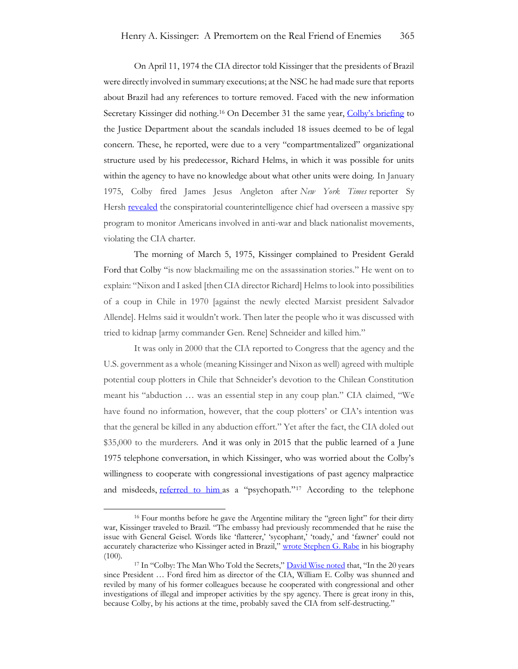On April 11, 1974 the CIA director told Kissinger that the presidents of Brazil were directly involved in summary executions; at the NSC he had made sure that reports about Brazil had any references to torture removed. Faced with the new information Secretary Kissinger did nothing.<sup>16</sup> On December 31 the same year, [Colby's briefing](https://nsarchive2.gwu.edu/NSAEBB/NSAEBB222/family_jewels_wilderotter.pdf) to the Justice Department about the scandals included 18 issues deemed to be of legal concern. These, he reported, were due to a very "compartmentalized" organizational structure used by his predecessor, Richard Helms, in which it was possible for units within the agency to have no knowledge about what other units were doing. In January 1975, Colby fired James Jesus Angleton after *New York Times* reporter Sy Hersh [revealed](https://www.nytimes.com/1974/12/22/archives/huge-cia-operation-reported-in-u-s-against-antiwar-forces-other.html?_r=0) the conspiratorial counterintelligence chief had overseen a massive spy program to monitor Americans involved in anti-war and black nationalist movements, violating the CIA charter.

The morning of March 5, 1975, Kissinger complained to President Gerald Ford that Colby "is now blackmailing me on the assassination stories." He went on to explain: "Nixon and I asked [then CIA director Richard] Helms to look into possibilities of a coup in Chile in 1970 [against the newly elected Marxist president Salvador Allende]. Helms said it wouldn't work. Then later the people who it was discussed with tried to kidnap [army commander Gen. Rene] Schneider and killed him."

It was only in 2000 that the CIA reported to Congress that the agency and the U.S. government as a whole (meaning Kissinger and Nixon as well) agreed with multiple potential coup plotters in Chile that Schneider's devotion to the Chilean Constitution meant his "abduction … was an essential step in any coup plan." CIA claimed, "We have found no information, however, that the coup plotters' or CIA's intention was that the general be killed in any abduction effort." Yet after the fact, the CIA doled out \$35,000 to the murderers. And it was only in 2015 that the public learned of a June 1975 telephone conversation, in which Kissinger, who was worried about the Colby's willingness to cooperate with congressional investigations of past agency malpractice and misdeeds, [referred to him](https://www.washingtonpost.com/news/powerpost/wp/2015/08/19/more-fun-eavesdropping-on-henry-kissinger-telephone-conversations/) as a "psychopath."<sup>17</sup> According to the telephone

<sup>&</sup>lt;sup>16</sup> Four months before he gave the Argentine military the "green light" for their dirty war, Kissinger traveled to Brazil. "The embassy had previously recommended that he raise the issue with General Geisel. Words like 'flatterer,' 'sycophant,' 'toady,' and 'fawner' could not accurately characterize who Kissinger acted in Brazil," [wrote Stephen G. Rabe](https://networks.h-net.org/node/28443/discussions/7848722/h-diplo-roundtable-xxii-46-rabe%C2%A0-kissinger-and-latin-america) in his biography (100).

<sup>&</sup>lt;sup>17</sup> In "Colby: The Man Who Told the Secrets," **[David Wise noted](https://www.latimes.com/archives/la-xpm-1996-05-05-op-704-story.html)** that, "In the 20 years since President … Ford fired him as director of the CIA, William E. Colby was shunned and reviled by many of his former colleagues because he cooperated with congressional and other investigations of illegal and improper activities by the spy agency. There is great irony in this, because Colby, by his actions at the time, probably saved the CIA from self-destructing."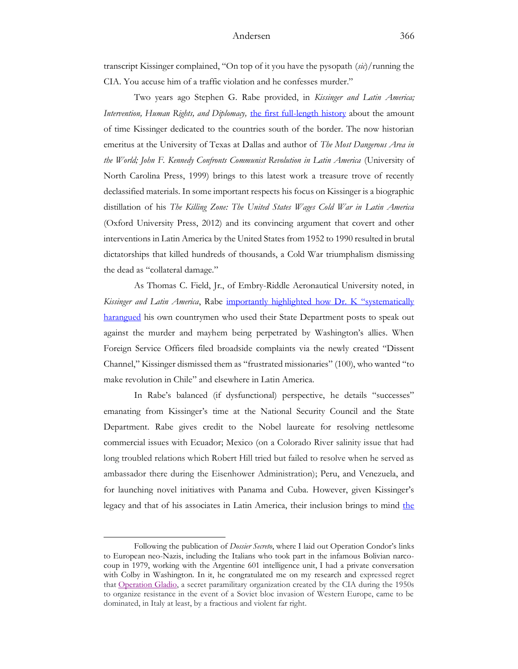transcript Kissinger complained, "On top of it you have the pysopath (*sic*)/running the CIA. You accuse him of a traffic violation and he confesses murder."

Two years ago Stephen G. Rabe provided, in *Kissinger and Latin America; Intervention, Human Rights, and Diplomacy,* [the first full-length history](https://networks.h-net.org/node/28443/discussions/7848722/h-diplo-roundtable-xxii-46-rabe%C2%A0-kissinger-and-latin-america) about the amount of time Kissinger dedicated to the countries south of the border. The now historian emeritus at the University of Texas at Dallas and author of *The Most Dangerous Area in the World; John F. Kennedy Confronts Communist Revolution in Latin America* (University of North Carolina Press, 1999) brings to this latest work a treasure trove of recently declassified materials. In some important respects his focus on Kissinger is a biographic distillation of his *The Killing Zone: The United States Wages Cold War in Latin America*  (Oxford University Press, 2012) and its convincing argument that covert and other interventions in Latin America by the United States from 1952 to 1990 resulted in brutal dictatorships that killed hundreds of thousands, a Cold War triumphalism dismissing the dead as "collateral damage."

As Thomas C. Field, Jr., of Embry-Riddle Aeronautical University noted, in *Kissinger and Latin America*, Rabe [importantly highlighted how Dr. K "systematically](https://networks.h-net.org/node/28443/discussions/7848722/h-diplo-roundtable-xxii-46-rabe%C2%A0-kissinger-and-latin-america)  [harangued](https://networks.h-net.org/node/28443/discussions/7848722/h-diplo-roundtable-xxii-46-rabe%C2%A0-kissinger-and-latin-america) his own countrymen who used their State Department posts to speak out against the murder and mayhem being perpetrated by Washington's allies. When Foreign Service Officers filed broadside complaints via the newly created "Dissent Channel," Kissinger dismissed them as "frustrated missionaries" (100), who wanted "to make revolution in Chile" and elsewhere in Latin America.

In Rabe's balanced (if dysfunctional) perspective, he details "successes" emanating from Kissinger's time at the National Security Council and the State Department. Rabe gives credit to the Nobel laureate for resolving nettlesome commercial issues with Ecuador; Mexico (on a Colorado River salinity issue that had long troubled relations which Robert Hill tried but failed to resolve when he served as ambassador there during the Eisenhower Administration); Peru, and Venezuela, and for launching novel initiatives with Panama and Cuba. However, given Kissinger's legacy and that of his associates in Latin America, their inclusion brings to mind the

Following the publication of *Dossier Secreto*, where I laid out Operation Condor's links to European neo-Nazis, including the Italians who took part in the infamous Bolivian narcocoup in 1979, working with the Argentine 601 intelligence unit, I had a private conversation with Colby in Washington. In it, he congratulated me on my research and expressed regret that [Operation Gladio,](https://www.washingtonpost.com/archive/politics/1990/11/14/cia-organized-secret-army-in-western-europe/e0305101-97b9-4494-bc18-d89f42497d85/) a secret paramilitary organization created by the CIA during the 1950s to organize resistance in the event of a Soviet bloc invasion of Western Europe, came to be dominated, in Italy at least, by a fractious and violent far right.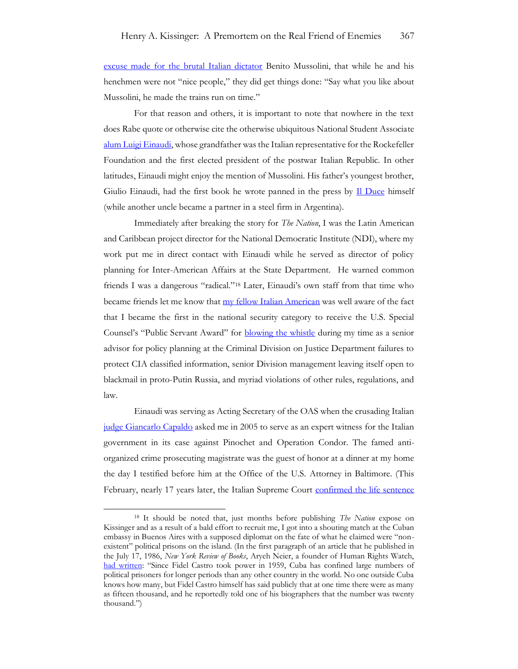[excuse made for the brutal Italian dictator](https://www.independent.co.uk/voices/rear-window-making-italy-work-did-mussolini-really-get-the-trains-running-on-time-1367688.html) Benito Mussolini, that while he and his henchmen were not "nice people," they did get things done: "Say what you like about Mussolini, he made the trains run on time."

For that reason and others, it is important to note that nowhere in the text does Rabe quote or otherwise cite the otherwise ubiquitous National Student Associate [alum Luigi Einaudi,](https://www.adst.org/OH%20TOCs/Einaudi.Luigi.pdf) whose grandfather was the Italian representative for the Rockefeller Foundation and the first elected president of the postwar Italian Republic. In other latitudes, Einaudi might enjoy the mention of Mussolini. His father's youngest brother, Giulio Einaudi, had the first book he wrote panned in the press by <u>Il Duce</u> himself (while another uncle became a partner in a steel firm in Argentina).

Immediately after breaking the story for *The Nation*, I was the Latin American and Caribbean project director for the National Democratic Institute (NDI), where my work put me in direct contact with Einaudi while he served as director of policy planning for Inter-American Affairs at the State Department. He warned common friends I was a dangerous "radical."<sup>18</sup> Later, Einaudi's own staff from that time who became friends let me know that [my fellow Italian American](https://investigativereportingworkshop.org/news/kenosha-deals-with-complex-past-present-healing/) was well aware of the fact that I became the first in the national security category to receive the U.S. Special Counsel's "Public Servant Award" for [blowing the whistle](https://apnews.com/article/8d11e45f3cfd462809aa358095cb68bb) during my time as a senior advisor for policy planning at the Criminal Division on Justice Department failures to protect CIA classified information, senior Division management leaving itself open to blackmail in proto-Putin Russia, and myriad violations of other rules, regulations, and law.

Einaudi was serving as Acting Secretary of the OAS when the crusading Italian [judge Giancarlo Capaldo](https://www.antimafiaduemila.com/libri/autori/751--giancarlo-capaldo.html) asked me in 2005 to serve as an expert witness for the Italian government in its case against Pinochet and Operation Condor. The famed antiorganized crime prosecuting magistrate was the guest of honor at a dinner at my home the day I testified before him at the Office of the U.S. Attorney in Baltimore. (This February, nearly 17 years later, the Italian Supreme Court [confirmed the life sentence](https://elcomercio.pe/politica/francisco-morales-bermudez-tribunal-supremo-italiano-confirma-cadena-perpetua-expresidente-peruano-plan-condor-rmmn-noticia/)

<sup>18</sup> It should be noted that, just months before publishing *The Nation* expose on Kissinger and as a result of a bald effort to recruit me, I got into a shouting match at the Cuban embassy in Buenos Aires with a supposed diplomat on the fate of what he claimed were "nonexistent" political prisons on the island. (In the first paragraph of an article that he published in the July 17, 1986, *New York Review of Books*, Aryeh Neier, a founder of Human Rights Watch, [had written:](https://www.nybooks.com/articles/1986/07/17/castros-victims/) "Since Fidel Castro took power in 1959, Cuba has confined large numbers of political prisoners for longer periods than any other country in the world. No one outside Cuba knows how many, but Fidel Castro himself has said publicly that at one time there were as many as fifteen thousand, and he reportedly told one of his biographers that the number was twenty thousand.")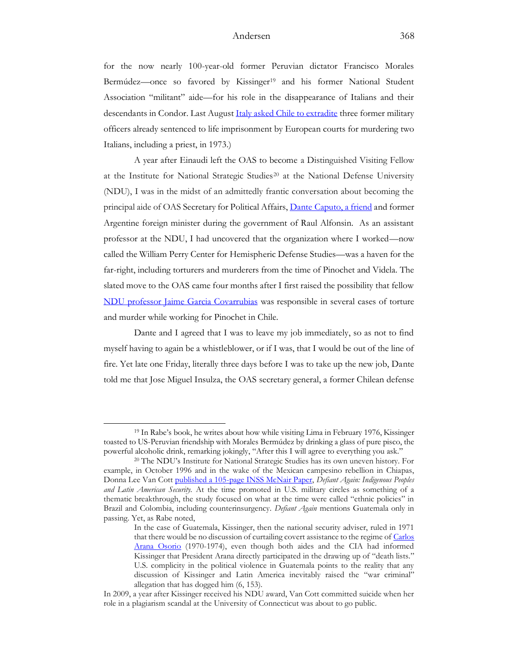for the now nearly 100-year-old former Peruvian dictator Francisco Morales Bermúdez—once so favored by Kissinger<sup>19</sup> and his former National Student Association "militant" aide—for his role in the disappearance of Italians and their descendants in Condor. Last Augus[t Italy asked Chile to extradite](https://www.batimes.com.ar/news/latin-america/italy-asks-chile-to-extradite-operation-condor-criminals.phtml) three former military officers already sentenced to life imprisonment by European courts for murdering two Italians, including a priest, in 1973.)

A year after Einaudi left the OAS to become a Distinguished Visiting Fellow at the Institute for National Strategic Studies<sup>20</sup> at the National Defense University (NDU), I was in the midst of an admittedly frantic conversation about becoming the principal aide of OAS Secretary for Political Affairs, [Dante Caputo, a friend](https://www.academia.edu/41523257/_Democracies_Are_the_Best_Defense_Inteview_Dante_Caputo) and former Argentine foreign minister during the government of Raul Alfonsin. As an assistant professor at the NDU, I had uncovered that the organization where I worked—now called the William Perry Center for Hemispheric Defense Studies—was a haven for the far-right, including torturers and murderers from the time of Pinochet and Videla. The slated move to the OAS came four months after I first raised the possibility that fellow [NDU professor Jaime Garcia Covarrubias](https://www.academia.edu/60299692/Case_Study_on_Neo_Nazi_Infiltration_The_Pentagons_National_Defense_University_and_Vichy_Ann_Rondeau_et_al) was responsible in several cases of torture and murder while working for Pinochet in Chile.

Dante and I agreed that I was to leave my job immediately, so as not to find myself having to again be a whistleblower, or if I was, that I would be out of the line of fire. Yet late one Friday, literally three days before I was to take up the new job, Dante told me that Jose Miguel Insulza, the OAS secretary general, a former Chilean defense

<sup>19</sup> In Rabe's book, he writes about how while visiting Lima in February 1976, Kissinger toasted to US-Peruvian friendship with Morales Bermúdez by drinking a glass of pure pisco, the powerful alcoholic drink, remarking jokingly, "After this I will agree to everything you ask."

<sup>20</sup> The NDU's Institute for National Strategic Studies has its own uneven history. For example, in October 1996 and in the wake of the Mexican campesino rebellion in Chiapas, Donna Lee Van Cott [published a 105-page INSS McNair Paper,](https://apps.dtic.mil/sti/pdfs/ADA316741.pdf) *Defiant Again: Indigenous Peoples and Latin American Security.* At the time promoted in U.S. military circles as something of a thematic breakthrough, the study focused on what at the time were called "ethnic policies" in Brazil and Colombia, including counterinsurgency. *Defiant Again* mentions Guatemala only in passing. Yet, as Rabe noted,

In the case of Guatemala, Kissinger, then the national security adviser, ruled in 1971 that there would be no discussion of curtailing covert assistance to the regime of [Carlos](https://www.nytimes.com/2003/12/09/world/c-arana-osorio-85-guatemala-ex-leader.html)  [Arana Osorio](https://www.nytimes.com/2003/12/09/world/c-arana-osorio-85-guatemala-ex-leader.html) (1970-1974), even though both aides and the CIA had informed Kissinger that President Arana directly participated in the drawing up of "death lists." U.S. complicity in the political violence in Guatemala points to the reality that any discussion of Kissinger and Latin America inevitably raised the "war criminal" allegation that has dogged him (6, 153).

In 2009, a year after Kissinger received his NDU award, Van Cott committed suicide when her role in a plagiarism scandal at the University of Connecticut was about to go public.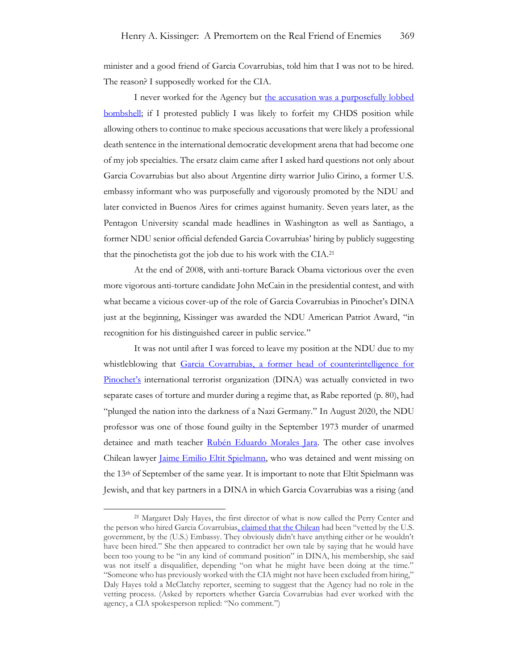minister and a good friend of Garcia Covarrubias, told him that I was not to be hired. The reason? I supposedly worked for the CIA.

I never worked for the Agency but the accusation was a purposefully lobbed **bombshell**; if I protested publicly I was likely to forfeit my CHDS position while allowing others to continue to make specious accusations that were likely a professional death sentence in the international democratic development arena that had become one of my job specialties. The ersatz claim came after I asked hard questions not only about Garcia Covarrubias but also about Argentine dirty warrior Julio Cirino, a former U.S. embassy informant who was purposefully and vigorously promoted by the NDU and later convicted in Buenos Aires for crimes against humanity. Seven years later, as the Pentagon University scandal made headlines in Washington as well as Santiago, a former NDU senior official defended Garcia Covarrubias' hiring by publicly suggesting that the pinochetista got the job due to his work with the CIA.<sup>21</sup>

At the end of 2008, with anti-torture Barack Obama victorious over the even more vigorous anti-torture candidate John McCain in the presidential contest, and with what became a vicious cover-up of the role of Garcia Covarrubias in Pinochet's DINA just at the beginning, Kissinger was awarded the NDU American Patriot Award, "in recognition for his distinguished career in public service."

It was not until after I was forced to leave my position at the NDU due to my whistleblowing that [Garcia Covarrubias, a former head of counterintelligence for](https://www.academia.edu/68562942/Pentagon_university_neo_Nazi_and_other_extremist_infiltration_Case_against_Ann_E_Rondeau_Glenn_Fine_et_al)  [Pinochet's](https://www.academia.edu/68562942/Pentagon_university_neo_Nazi_and_other_extremist_infiltration_Case_against_Ann_E_Rondeau_Glenn_Fine_et_al) international terrorist organization (DINA) was actually convicted in two separate cases of torture and murder during a regime that, as Rabe reported (p. 80), had "plunged the nation into the darkness of a Nazi Germany." In August 2020, the NDU professor was one of those found guilty in the September 1973 murder of unarmed detainee and math teacher [Rubén Eduardo Morales Jara.](https://www.vicariadelasolidaridad.cl/sites/default/files/2022-01/VS0000390.pdf) The other case involves Chilean lawyer *Jaime Emilio Eltit Spielmann*, who was detained and went missing on the 13th of September of the same year. It is important to note that Eltit Spielmann was Jewish, and that key partners in a DINA in which Garcia Covarrubias was a rising (and

<sup>21</sup> Margaret Daly Hayes, the first director of what is now called the Perry Center and the person who hired Garcia Covarrubia[s, claimed that the Chilean](https://www.mcclatchydc.com/news/nation-world/national/national-security/article24781345.html#storylink=cpy) had been "vetted by the U.S. government, by the (U.S.) Embassy. They obviously didn't have anything either or he wouldn't have been hired." She then appeared to contradict her own tale by saying that he would have been too young to be "in any kind of command position" in DINA, his membership, she said was not itself a disqualifier, depending "on what he might have been doing at the time." "Someone who has previously worked with the CIA might not have been excluded from hiring," Daly Hayes told a McClatchy reporter, seeming to suggest that the Agency had no role in the vetting process. (Asked by reporters whether Garcia Covarrubias had ever worked with the agency, a CIA spokesperson replied: "No comment.")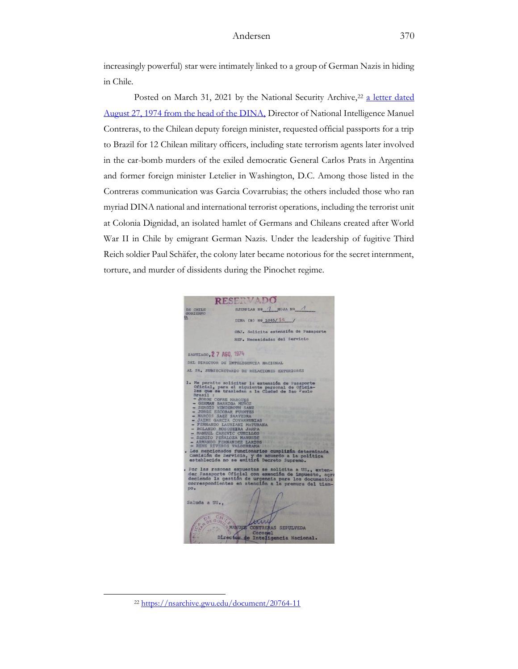increasingly powerful) star were intimately linked to a group of German Nazis in hiding in Chile.

Posted on March 31, 2021 by the National Security Archive,<sup>22</sup> a letter dated [August 27, 1974 from the head of the DINA,](https://www.academia.edu/60299692/Case_Study_on_Neo_Nazi_Infiltration_The_Pentagons_National_Defense_University_and_Vichy_Ann_Rondeau_et_al) Director of National Intelligence Manuel Contreras, to the Chilean deputy foreign minister, requested official passports for a trip to Brazil for 12 Chilean military officers, including state terrorism agents later involved in the car-bomb murders of the exiled democratic General Carlos Prats in Argentina and former foreign minister Letelier in Washington, D.C. Among those listed in the Contreras communication was Garcia Covarrubias; the others included those who ran myriad DINA national and international terrorist operations, including the terrorist unit at Colonia Dignidad, an isolated hamlet of Germans and Chileans created after World War II in Chile by emigrant German Nazis. Under the leadership of fugitive Third Reich soldier Paul Schäfer, the colony later became notorious for the secret internment, torture, and murder of dissidents during the Pinochet regime.



<sup>22</sup> <https://nsarchive.gwu.edu/document/20764-11>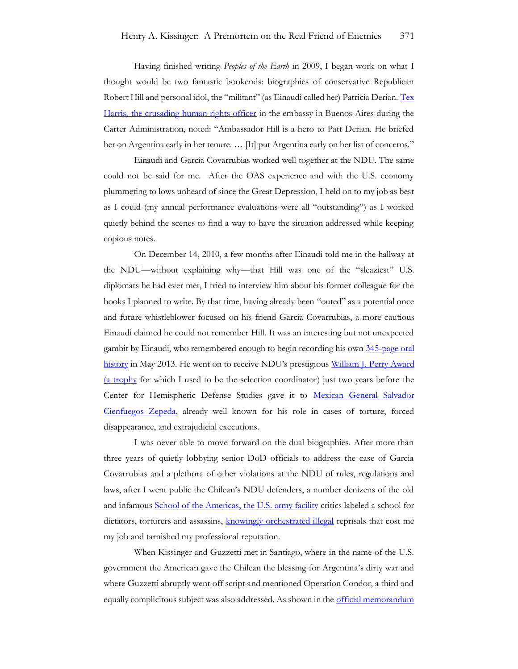Having finished writing *Peoples of the Earth* in 2009, I began work on what I thought would be two fantastic bookends: biographies of conservative Republican Robert Hill and personal idol, the "militant" (as Einaudi called her) Patricia Derian. Tex [Harris, the crusading human rights officer](https://www.justsecurity.org/68980/legacy-of-late-state-department-human-rights-champion-tex-harris-reverberates-today/) in the embassy in Buenos Aires during the Carter Administration, noted: "Ambassador Hill is a hero to Patt Derian. He briefed her on Argentina early in her tenure. … [It] put Argentina early on her list of concerns."

Einaudi and Garcia Covarrubias worked well together at the NDU. The same could not be said for me. After the OAS experience and with the U.S. economy plummeting to lows unheard of since the Great Depression, I held on to my job as best as I could (my annual performance evaluations were all "outstanding") as I worked quietly behind the scenes to find a way to have the situation addressed while keeping copious notes.

On December 14, 2010, a few months after Einaudi told me in the hallway at the NDU—without explaining why—that Hill was one of the "sleaziest" U.S. diplomats he had ever met, I tried to interview him about his former colleague for the books I planned to write. By that time, having already been "outed" as a potential once and future whistleblower focused on his friend Garcia Covarrubias, a more cautious Einaudi claimed he could not remember Hill. It was an interesting but not unexpected gambit by Einaudi, who remembered enough to begin recording his own [345-page oral](https://www.adst.org/OH%20TOCs/Einaudi.Luigi.pdf)  [history](https://www.adst.org/OH%20TOCs/Einaudi.Luigi.pdf) in May 2013. He went on to receive NDU's prestigious William J. Perry Award [\(a trophy](https://www.williamjperrycenter.org/content/2016-perry-award-ceremony-individual-category) for which I used to be the selection coordinator) just two years before the Center for Hemispheric Defense Studies gave it to Mexican General Salvador [Cienfuegos Zepeda,](https://www.brookings.edu/blog/order-from-chaos/2020/11/23/cienfuegos-and-the-us-mexico-firestorm/) already well known for his role in cases of torture, forced disappearance, and extrajudicial executions.

I was never able to move forward on the dual biographies. After more than three years of quietly lobbying senior DoD officials to address the case of Garcia Covarrubias and a plethora of other violations at the NDU of rules, regulations and laws, after I went public the Chilean's NDU defenders, a number denizens of the old and infamous [School of the Americas, the U.S. army facility](https://www.washingtonpost.com/archive/politics/2000/12/17/school-of-the-americas-closes/92746b1f-cf46-4763-a73d-5f558ea48a47/) critics labeled a school for dictators, torturers and assassins, [knowingly orchestrated illegal](https://www.academia.edu/49657089/LinkedIn_the_worlds_largest_professional_networking_platform_and_the_case_before_the_International_Criminal_Court_Adm_Ann_Rondeau_et_al) reprisals that cost me my job and tarnished my professional reputation.

When Kissinger and Guzzetti met in Santiago, where in the name of the U.S. government the American gave the Chilean the blessing for Argentina's dirty war and where Guzzetti abruptly went off script and mentioned Operation Condor, a third and equally complicitous subject was also addressed. As shown in the <u>official memorandum</u>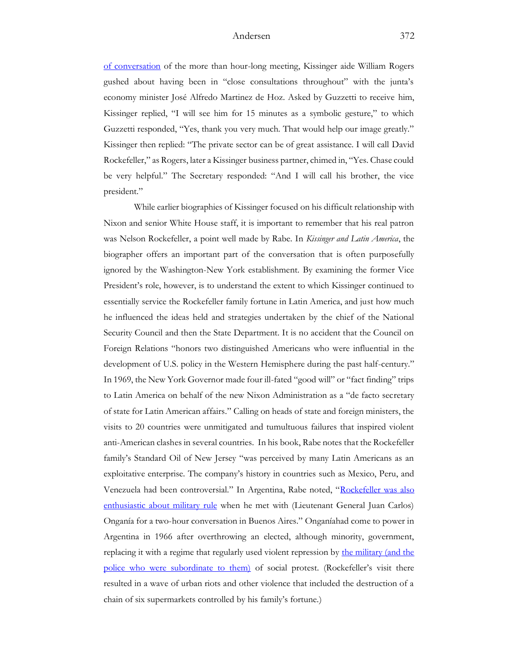[of conversation](https://history.state.gov/historicaldocuments/frus1969-76ve11p2/d48) of the more than hour-long meeting, Kissinger aide William Rogers gushed about having been in "close consultations throughout" with the junta's economy minister José Alfredo Martinez de Hoz. Asked by Guzzetti to receive him, Kissinger replied, "I will see him for 15 minutes as a symbolic gesture," to which Guzzetti responded, "Yes, thank you very much. That would help our image greatly." Kissinger then replied: "The private sector can be of great assistance. I will call David Rockefeller," as Rogers, later a Kissinger business partner, chimed in, "Yes. Chase could be very helpful." The Secretary responded: "And I will call his brother, the vice president."

While earlier biographies of Kissinger focused on his difficult relationship with Nixon and senior White House staff, it is important to remember that his real patron was Nelson Rockefeller, a point well made by Rabe. In *Kissinger and Latin America*, the biographer offers an important part of the conversation that is often purposefully ignored by the Washington-New York establishment. By examining the former Vice President's role, however, is to understand the extent to which Kissinger continued to essentially service the Rockefeller family fortune in Latin America, and just how much he influenced the ideas held and strategies undertaken by the chief of the National Security Council and then the State Department. It is no accident that the Council on Foreign Relations "honors two distinguished Americans who were influential in the development of U.S. policy in the Western Hemisphere during the past half-century." In 1969, the New York Governor made four ill-fated "good will" or "fact finding" trips to Latin America on behalf of the new Nixon Administration as a "de facto secretary of state for Latin American affairs." Calling on heads of state and foreign ministers, the visits to 20 countries were unmitigated and tumultuous failures that inspired violent anti-American clashes in several countries. In his book, Rabe notes that the Rockefeller family's Standard Oil of New Jersey "was perceived by many Latin Americans as an exploitative enterprise. The company's history in countries such as Mexico, Peru, and Venezuela had been controversial." In Argentina, Rabe noted, "[Rockefeller was also](https://www.youtube.com/watch?v=qS6T46nmWLo)  [enthusiastic about military rule](https://www.youtube.com/watch?v=qS6T46nmWLo) when he met with (Lieutenant General Juan Carlos) Onganía for a two-hour conversation in Buenos Aires." Onganíahad come to power in Argentina in 1966 after overthrowing an elected, although minority, government, replacing it with a regime that regularly used violent repression by the military (and the [police who were subordinate to them\)](https://www.academia.edu/43590653/La_Policia_Pasado_presente_y_propuestas_para_el_futuro_Capitulo_5_La_Marcha_de_la_Bronca_1955_1973_) of social protest. (Rockefeller's visit there resulted in a wave of urban riots and other violence that included the destruction of a chain of six supermarkets controlled by his family's fortune.)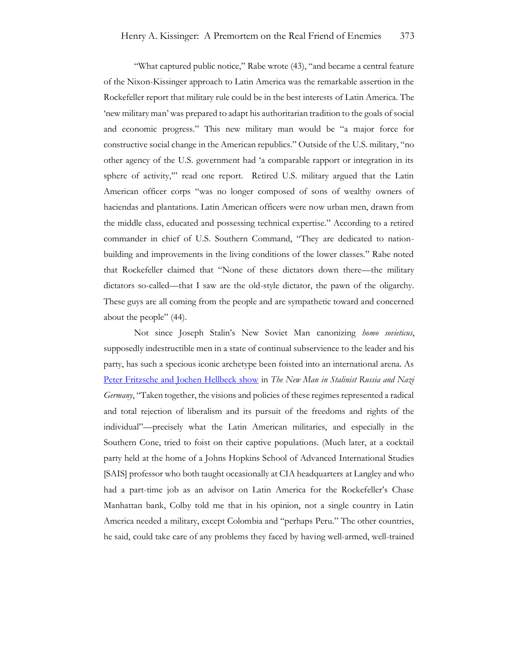"What captured public notice," Rabe wrote (43), "and became a central feature of the Nixon-Kissinger approach to Latin America was the remarkable assertion in the Rockefeller report that military rule could be in the best interests of Latin America. The 'new military man' was prepared to adapt his authoritarian tradition to the goals of social and economic progress." This new military man would be "a major force for constructive social change in the American republics." Outside of the U.S. military, "no other agency of the U.S. government had 'a comparable rapport or integration in its sphere of activity," read one report. Retired U.S. military argued that the Latin American officer corps "was no longer composed of sons of wealthy owners of haciendas and plantations. Latin American officers were now urban men, drawn from the middle class, educated and possessing technical expertise." According to a retired commander in chief of U.S. Southern Command, "They are dedicated to nationbuilding and improvements in the living conditions of the lower classes." Rabe noted that Rockefeller claimed that "None of these dictators down there—the military dictators so-called—that I saw are the old-style dictator, the pawn of the oligarchy. These guys are all coming from the people and are sympathetic toward and concerned about the people" (44).

Not since Joseph Stalin's New Soviet Man canonizing *homo sovieticus*, supposedly indestructible men in a state of continual subservience to the leader and his party, has such a specious iconic archetype been foisted into an international arena. As [Peter Fritzsche and Jochen Hellbeck show](https://www.cambridge.org/core/books/abs/beyond-totalitarianism/new-man-in-stalinist-russia-and-nazi-germany/3B43D650BA116B4A641F79893AD17B38) in *The New Man in Stalinist Russia and Nazi Germany*, "Taken together, the visions and policies of these regimes represented a radical and total rejection of liberalism and its pursuit of the freedoms and rights of the individual"—precisely what the Latin American militaries, and especially in the Southern Cone, tried to foist on their captive populations. (Much later, at a cocktail party held at the home of a Johns Hopkins School of Advanced International Studies [SAIS] professor who both taught occasionally at CIA headquarters at Langley and who had a part-time job as an advisor on Latin America for the Rockefeller's Chase Manhattan bank, Colby told me that in his opinion, not a single country in Latin America needed a military, except Colombia and "perhaps Peru." The other countries, he said, could take care of any problems they faced by having well-armed, well-trained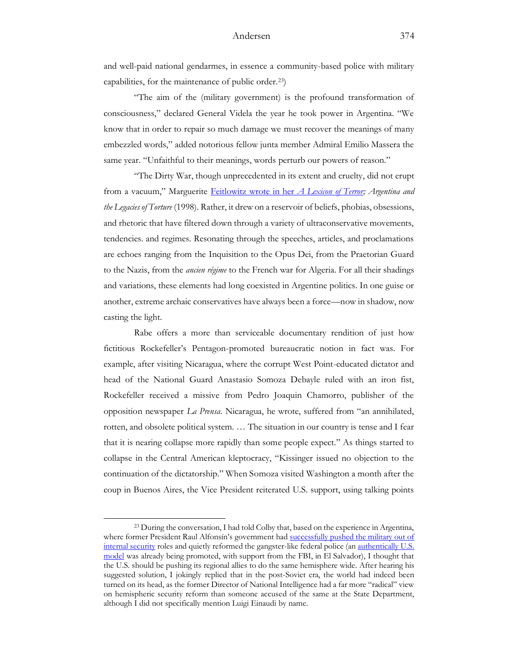and well-paid national gendarmes, in essence a community-based police with military capabilities, for the maintenance of public order.23)

"The aim of the (military government) is the profound transformation of consciousness," declared General Videla the year he took power in Argentina. "We know that in order to repair so much damage we must recover the meanings of many embezzled words," added notorious fellow junta member Admiral Emilio Massera the same year. "Unfaithful to their meanings, words perturb our powers of reason."

"The Dirty War, though unprecedented in its extent and cruelty, did not erupt from a vacuum," Marguerite [Feitlowitz wrote in her](https://archive.nytimes.com/www.nytimes.com/books/first/f/feitlowitz-terror.html?_r=1&oref=slogin) *A Lexicon of Terror; Argentina and the Legacies of Torture* (1998). Rather, it drew on a reservoir of beliefs, phobias, obsessions, and rhetoric that have filtered down through a variety of ultraconservative movements, tendencies. and regimes. Resonating through the speeches, articles, and proclamations are echoes ranging from the Inquisition to the Opus Dei, from the Praetorian Guard to the Nazis, from the *ancien régime* to the French war for Algeria. For all their shadings and variations, these elements had long coexisted in Argentine politics. In one guise or another, extreme archaic conservatives have always been a force—now in shadow, now casting the light.

Rabe offers a more than serviceable documentary rendition of just how fictitious Rockefeller's Pentagon-promoted bureaucratic notion in fact was. For example, after visiting Nicaragua, where the corrupt West Point-educated dictator and head of the National Guard Anastasio Somoza Debayle ruled with an iron fist, Rockefeller received a missive from Pedro Joaquin Chamorro, publisher of the opposition newspaper *La Prensa*. Nicaragua, he wrote, suffered from "an annihilated, rotten, and obsolete political system. … The situation in our country is tense and I fear that it is nearing collapse more rapidly than some people expect." As things started to collapse in the Central American kleptocracy, "Kissinger issued no objection to the continuation of the dictatorship." When Somoza visited Washington a month after the coup in Buenos Aires, the Vice President reiterated U.S. support, using talking points

<sup>23</sup> During the conversation, I had told Colby that, based on the experience in Argentina, where former President Raul Alfonsín's government had successfully pushed the military out of [internal security](https://www.academia.edu/43590523/La_Policia_Pasado_presente_y_propuestas_para_el_futuro_Capitulo_8_Un_Comisario_del_Pueblo_Como_Yrigoyen_1983_1989_) roles and quietly reformed the gangster-like federal police (an authentically U.S. [model](https://www.academia.edu/39030421/Why_military_and_civilian_shouldnt_mix) was already being promoted, with support from the FBI, in El Salvador), I thought that the U.S. should be pushing its regional allies to do the same hemisphere wide. After hearing his suggested solution, I jokingly replied that in the post-Soviet era, the world had indeed been turned on its head, as the former Director of National Intelligence had a far more "radical" view on hemispheric security reform than someone accused of the same at the State Department, although I did not specifically mention Luigi Einaudi by name.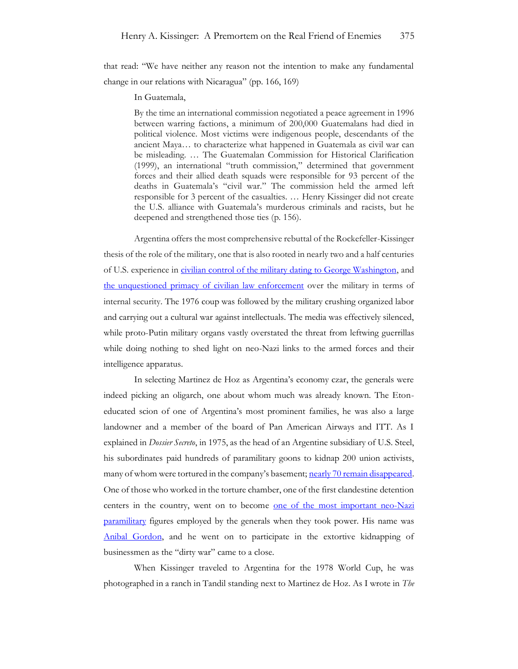that read: "We have neither any reason not the intention to make any fundamental change in our relations with Nicaragua" (pp. 166, 169)

#### In Guatemala,

By the time an international commission negotiated a peace agreement in 1996 between warring factions, a minimum of 200,000 Guatemalans had died in political violence. Most victims were indigenous people, descendants of the ancient Maya… to characterize what happened in Guatemala as civil war can be misleading. … The Guatemalan Commission for Historical Clarification (1999), an international "truth commission," determined that government forces and their allied death squads were responsible for 93 percent of the deaths in Guatemala's "civil war." The commission held the armed left responsible for 3 percent of the casualties. … Henry Kissinger did not create the U.S. alliance with Guatemala's murderous criminals and racists, but he deepened and strengthened those ties (p. 156).

Argentina offers the most comprehensive rebuttal of the Rockefeller-Kissinger thesis of the role of the military, one that is also rooted in nearly two and a half centuries of U.S. experience in [civilian control of the military dating to George Washington,](https://www.nytimes.com/2010/02/15/opinion/15miller.html) and [the unquestioned primacy of civilian law enforcement](https://www.academia.edu/28227717/Argentine_Police_and_the_Dirty_War_A_Study_of_What_Not_to_Do_and_When_Not_to_Do_It) over the military in terms of internal security. The 1976 coup was followed by the military crushing organized labor and carrying out a cultural war against intellectuals. The media was effectively silenced, while proto-Putin military organs vastly overstated the threat from leftwing guerrillas while doing nothing to shed light on neo-Nazi links to the armed forces and their intelligence apparatus.

In selecting Martinez de Hoz as Argentina's economy czar, the generals were indeed picking an oligarch, one about whom much was already known. The Etoneducated scion of one of Argentina's most prominent families, he was also a large landowner and a member of the board of Pan American Airways and ITT. As I explained in *Dossier Secreto*, in 1975, as the head of an Argentine subsidiary of U.S. Steel, his subordinates paid hundreds of paramilitary goons to kidnap 200 union activists, many of whom were tortured in the company's basement; [nearly 70 remain disappeared.](https://canalabierto.com.ar/2018/03/20/villazo-el-aviso-de-martinez-de-hoz/) One of those who worked in the torture chamber, one of the first clandestine detention centers in the country, went on to become <u>one of the most important neo-Nazi</u> [paramilitary](https://www.nytimes.com/1987/09/15/obituaries/anibal-gordon-guilty-of-argentine-killings.html) figures employed by the generals when they took power. His name was [Anibal Gordon,](https://www.nytimes.com/1987/09/15/obituaries/anibal-gordon-guilty-of-argentine-killings.html) and he went on to participate in the extortive kidnapping of businessmen as the "dirty war" came to a close.

When Kissinger traveled to Argentina for the 1978 World Cup, he was photographed in a ranch in Tandil standing next to Martinez de Hoz. As I wrote in *The*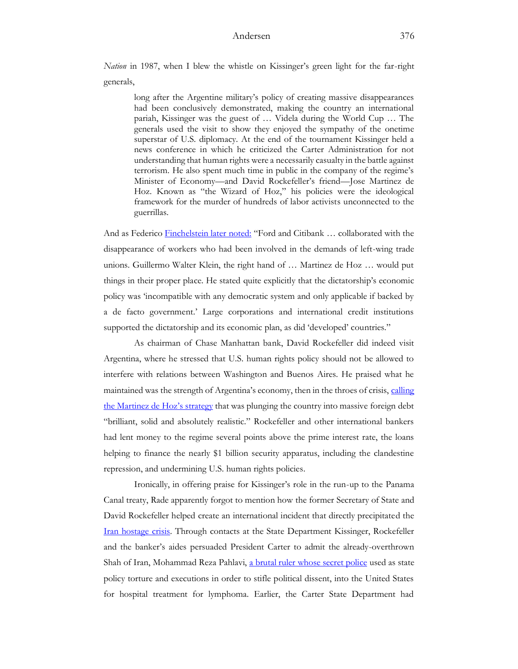*Nation* in 1987, when I blew the whistle on Kissinger's green light for the far-right generals,

long after the Argentine military's policy of creating massive disappearances had been conclusively demonstrated, making the country an international pariah, Kissinger was the guest of … Videla during the World Cup … The generals used the visit to show they enjoyed the sympathy of the onetime superstar of U.S. diplomacy. At the end of the tournament Kissinger held a news conference in which he criticized the Carter Administration for not understanding that human rights were a necessarily casualty in the battle against terrorism. He also spent much time in public in the company of the regime's Minister of Economy—and David Rockefeller's friend—Jose Martinez de Hoz. Known as "the Wizard of Hoz," his policies were the ideological framework for the murder of hundreds of labor activists unconnected to the guerrillas.

And as Federico [Finchelstein later noted:](https://books.google.com/books?id=0g01DQAAQBAJ&pg=PA124&lpg=PA124&dq=Kissinger+World+Cup+Martinez+de+Hoz&source=bl&ots=UkUhIO62v3&sig=ACfU3U3StUJmMrzSFkFyggOVmKn_5XKlGA&hl=en&sa=X&ved=2ahUKEwiX4L20qfT2AhU2knIEHSh7A7oQ6AF6BAgXEAM#v=onepage&q=Kissinger%20World%20Cup%20Martinez%20de%20Hoz&f=false) "Ford and Citibank … collaborated with the disappearance of workers who had been involved in the demands of left-wing trade unions. Guillermo Walter Klein, the right hand of … Martinez de Hoz … would put things in their proper place. He stated quite explicitly that the dictatorship's economic policy was 'incompatible with any democratic system and only applicable if backed by a de facto government.' Large corporations and international credit institutions supported the dictatorship and its economic plan, as did 'developed' countries."

As chairman of Chase Manhattan bank, David Rockefeller did indeed visit Argentina, where he stressed that U.S. human rights policy should not be allowed to interfere with relations between Washington and Buenos Aires. He praised what he maintained was the strength of Argentina's economy, then in the throes of crisis, calling the [Martinez de Hoz's s](https://www.reuters.com/article/argentina-martinezdehoz/argentinas-dictatorship-economy-chief-martinez-de-hoz-dies-idUSL1N0BZFD520130316)trategy that was plunging the country into massive foreign debt "brilliant, solid and absolutely realistic." Rockefeller and other international bankers had lent money to the regime several points above the prime interest rate, the loans helping to finance the nearly \$1 billion security apparatus, including the clandestine repression, and undermining U.S. human rights policies.

Ironically, in offering praise for Kissinger's role in the run-up to the Panama Canal treaty, Rade apparently forgot to mention how the former Secretary of State and David Rockefeller helped create an international incident that directly precipitated the [Iran hostage crisis.](https://www.jimmycarterlibrary.gov/research/hostage_crisis_in_iran) Through contacts at the State Department Kissinger, Rockefeller and the banker's aides persuaded President Carter to admit the already-overthrown Shah of Iran, Mohammad Reza Pahlavi, [a brutal ruler whose](https://www.history.com/this-day-in-history/shah-flees-iran) secret police used as state policy torture and executions in order to stifle political dissent, into the United States for hospital treatment for lymphoma. Earlier, the Carter State Department had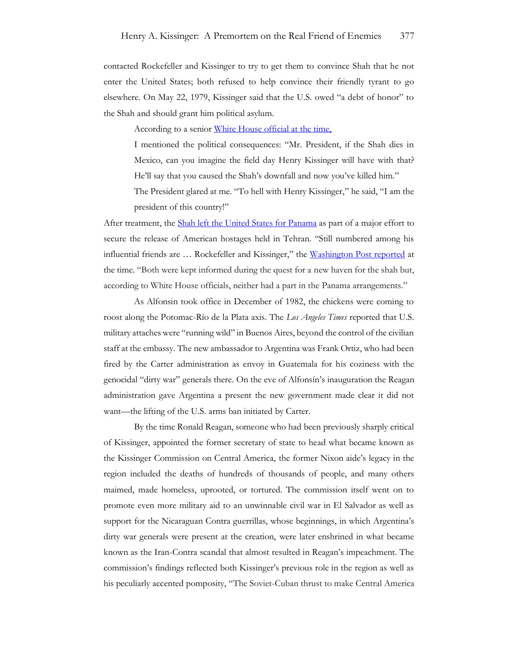contacted Rockefeller and Kissinger to try to get them to convince Shah that he not enter the United States; both refused to help convince their friendly tyrant to go elsewhere. On May 22, 1979, Kissinger said that the U.S. owed "a debt of honor" to the Shah and should grant him political asylum.

According to a senior [White House official at the time,](https://www.press.umich.edu/pdf/0472108670-04.pdf)

I mentioned the political consequences: "Mr. President, if the Shah dies in Mexico, can you imagine the field day Henry Kissinger will have with that? He'll say that you caused the Shah's downfall and now you've killed him."

The President glared at me. "To hell with Henry Kissinger," he said, "I am the president of this country!"

After treatment, th[e Shah left the United States for Panama](https://www.jimmycarterlibrary.gov/digital_library/cos/142099/35/cos_142099_35_12-Iran_Shah_Panama.pdf)</u> as part of a major effort to secure the release of American hostages held in Tehran. "Still numbered among his influential friends are … Rockefeller and Kissinger," the [Washington Post reported](https://www.washingtonpost.com/archive/politics/1979/12/16/shah-flown-to-sanctuary-in-panama/e7690e05-14e4-47fa-b2e9-192f57bbbf27/) at the time. "Both were kept informed during the quest for a new haven for the shah but, according to White House officials, neither had a part in the Panama arrangements."

As Alfonsin took office in December of 1982, the chickens were coming to roost along the Potomac-Río de la Plata axis. The *Los Angeles Times* reported that U.S. military attaches were "running wild" in Buenos Aires, beyond the control of the civilian staff at the embassy. The new ambassador to Argentina was Frank Ortiz, who had been fired by the Carter administration as envoy in Guatemala for his coziness with the genocidal "dirty war" generals there. On the eve of Alfonsín's inauguration the Reagan administration gave Argentina a present the new government made clear it did not want—the lifting of the U.S. arms ban initiated by Carter.

By the time Ronald Reagan, someone who had been previously sharply critical of Kissinger, appointed the former secretary of state to head what became known as the Kissinger Commission on Central America, the former Nixon aide's legacy in the region included the deaths of hundreds of thousands of people, and many others maimed, made homeless, uprooted, or tortured. The commission itself went on to promote even more military aid to an unwinnable civil war in El Salvador as well as support for the Nicaraguan Contra guerrillas, whose beginnings, in which Argentina's dirty war generals were present at the creation, were later enshrined in what became known as the Iran-Contra scandal that almost resulted in Reagan's impeachment. The commission's findings reflected both Kissinger's previous role in the region as well as his peculiarly accented pomposity, "The Soviet-Cuban thrust to make Central America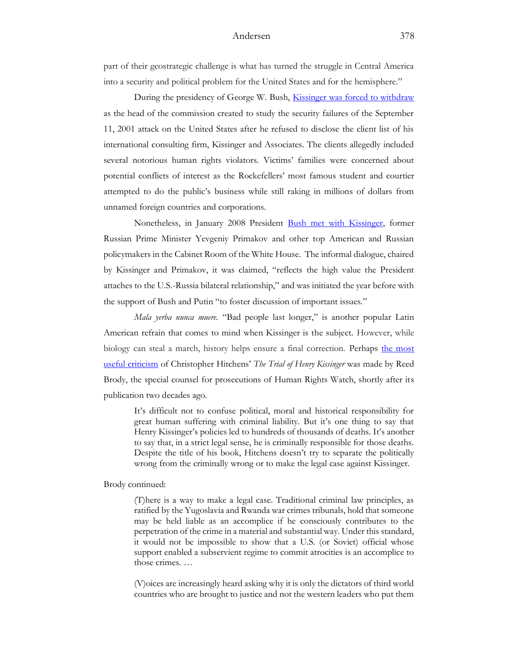part of their geostrategic challenge is what has turned the struggle in Central America into a security and political problem for the United States and for the hemisphere."

During the presidency of George W. Bush, [Kissinger was forced to withdraw](https://www.academia.edu/39610773/The_Winter_of_Dr_Ks_Discontent_Henrys_Kissingers_public_persona_of_selfless_service_cannot_mask_his_hubris_or_his_need_to_rewrite_history) as the head of the commission created to study the security failures of the September 11, 2001 attack on the United States after he refused to disclose the client list of his international consulting firm, Kissinger and Associates. The clients allegedly included several notorious human rights violators. Victims' families were concerned about potential conflicts of interest as the Rockefellers' most famous student and courtier attempted to do the public's business while still raking in millions of dollars from unnamed foreign countries and corporations.

Nonetheless, in January 2008 President [Bush met with Kissinger,](https://georgewbush-whitehouse.archives.gov/news/releases/2008/01/images/20080118-1_d-0080-2-515h.html) former Russian Prime Minister Yevgeniy Primakov and other top American and Russian policymakers in the Cabinet Room of the White House. The informal dialogue, chaired by Kissinger and Primakov, it was claimed, "reflects the high value the President attaches to the U.S.-Russia bilateral relationship," and was initiated the year before with the support of Bush and Putin "to foster discussion of important issues."

*Mala yerba nunca muere.* "Bad people last longer," is another popular Latin American refrain that comes to mind when Kissinger is the subject. However, while biology can steal a march, history helps ensure a final correction. Perhaps the most [useful criticism](https://www.hrw.org/legacy/community/bookreviews/hitchens.htm) of Christopher Hitchens' *The Trial of Henry Kissinger* was made by Reed Brody, the special counsel for prosecutions of Human Rights Watch, shortly after its publication two decades ago.

It's difficult not to confuse political, moral and historical responsibility for great human suffering with criminal liability. But it's one thing to say that Henry Kissinger's policies led to hundreds of thousands of deaths. It's another to say that, in a strict legal sense, he is criminally responsible for those deaths. Despite the title of his book, Hitchens doesn't try to separate the politically wrong from the criminally wrong or to make the legal case against Kissinger.

Brody continued:

(T)here is a way to make a legal case. Traditional criminal law principles, as ratified by the Yugoslavia and Rwanda war crimes tribunals, hold that someone may be held liable as an accomplice if he consciously contributes to the perpetration of the crime in a material and substantial way. Under this standard, it would not be impossible to show that a U.S. (or Soviet) official whose support enabled a subservient regime to commit atrocities is an accomplice to those crimes. …

(V)oices are increasingly heard asking why it is only the dictators of third world countries who are brought to justice and not the western leaders who put them